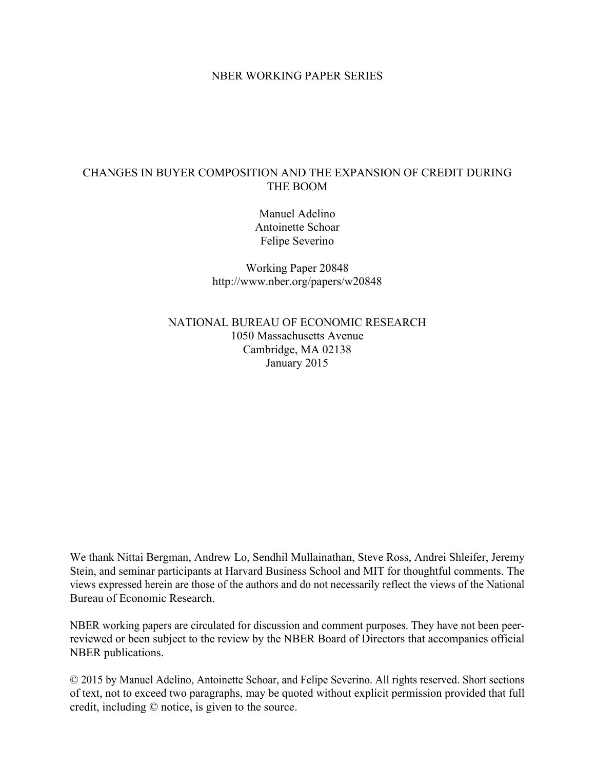### NBER WORKING PAPER SERIES

# CHANGES IN BUYER COMPOSITION AND THE EXPANSION OF CREDIT DURING THE BOOM

Manuel Adelino Antoinette Schoar Felipe Severino

Working Paper 20848 http://www.nber.org/papers/w20848

NATIONAL BUREAU OF ECONOMIC RESEARCH 1050 Massachusetts Avenue Cambridge, MA 02138 January 2015

We thank Nittai Bergman, Andrew Lo, Sendhil Mullainathan, Steve Ross, Andrei Shleifer, Jeremy Stein, and seminar participants at Harvard Business School and MIT for thoughtful comments. The views expressed herein are those of the authors and do not necessarily reflect the views of the National Bureau of Economic Research.

NBER working papers are circulated for discussion and comment purposes. They have not been peerreviewed or been subject to the review by the NBER Board of Directors that accompanies official NBER publications.

© 2015 by Manuel Adelino, Antoinette Schoar, and Felipe Severino. All rights reserved. Short sections of text, not to exceed two paragraphs, may be quoted without explicit permission provided that full credit, including © notice, is given to the source.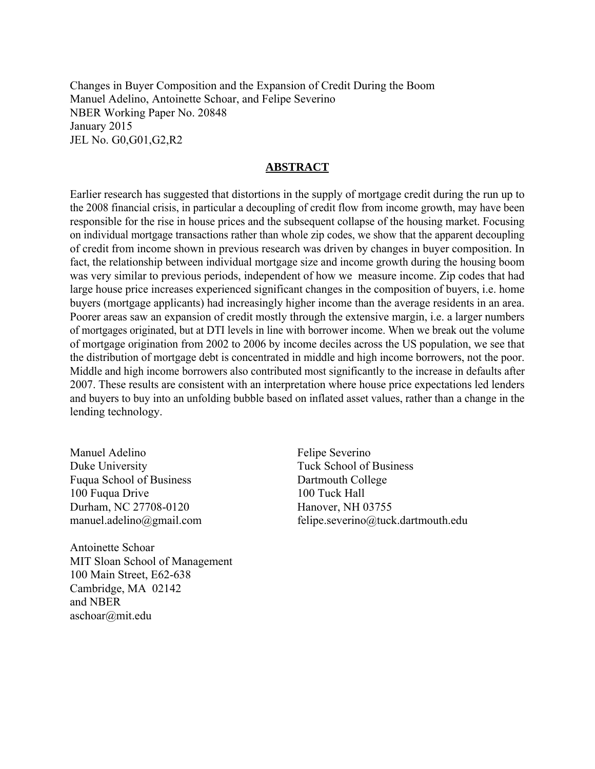Changes in Buyer Composition and the Expansion of Credit During the Boom Manuel Adelino, Antoinette Schoar, and Felipe Severino NBER Working Paper No. 20848 January 2015 JEL No. G0,G01,G2,R2

### **ABSTRACT**

Earlier research has suggested that distortions in the supply of mortgage credit during the run up to the 2008 financial crisis, in particular a decoupling of credit flow from income growth, may have been responsible for the rise in house prices and the subsequent collapse of the housing market. Focusing on individual mortgage transactions rather than whole zip codes, we show that the apparent decoupling of credit from income shown in previous research was driven by changes in buyer composition. In fact, the relationship between individual mortgage size and income growth during the housing boom was very similar to previous periods, independent of how we measure income. Zip codes that had large house price increases experienced significant changes in the composition of buyers, i.e. home buyers (mortgage applicants) had increasingly higher income than the average residents in an area. Poorer areas saw an expansion of credit mostly through the extensive margin, i.e. a larger numbers of mortgages originated, but at DTI levels in line with borrower income. When we break out the volume of mortgage origination from 2002 to 2006 by income deciles across the US population, we see that the distribution of mortgage debt is concentrated in middle and high income borrowers, not the poor. Middle and high income borrowers also contributed most significantly to the increase in defaults after 2007. These results are consistent with an interpretation where house price expectations led lenders and buyers to buy into an unfolding bubble based on inflated asset values, rather than a change in the lending technology.

Manuel Adelino Duke University Fuqua School of Business 100 Fuqua Drive Durham, NC 27708-0120 manuel.adelino@gmail.com

Antoinette Schoar MIT Sloan School of Management 100 Main Street, E62-638 Cambridge, MA 02142 and NBER aschoar@mit.edu

Felipe Severino Tuck School of Business Dartmouth College 100 Tuck Hall Hanover, NH 03755 felipe.severino@tuck.dartmouth.edu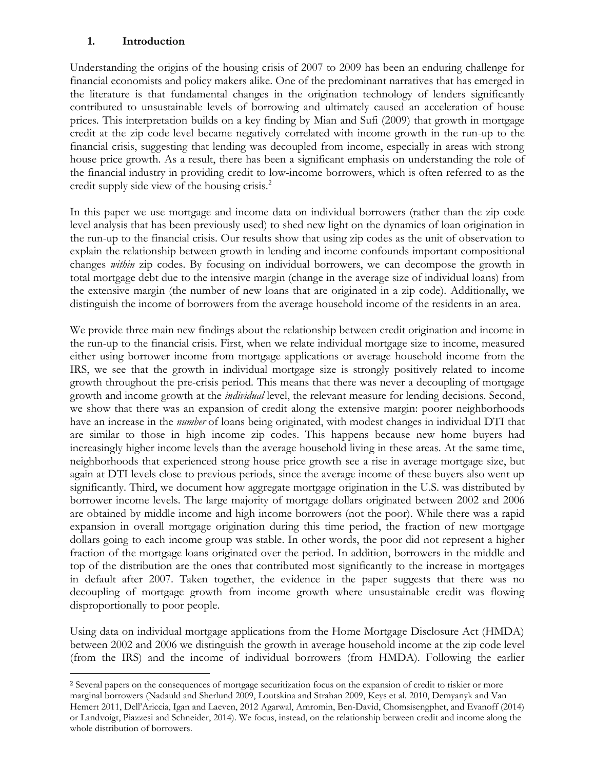## **1. Introduction**

l

Understanding the origins of the housing crisis of 2007 to 2009 has been an enduring challenge for financial economists and policy makers alike. One of the predominant narratives that has emerged in the literature is that fundamental changes in the origination technology of lenders significantly contributed to unsustainable levels of borrowing and ultimately caused an acceleration of house prices. This interpretation builds on a key finding by Mian and Sufi (2009) that growth in mortgage credit at the zip code level became negatively correlated with income growth in the run-up to the financial crisis, suggesting that lending was decoupled from income, especially in areas with strong house price growth. As a result, there has been a significant emphasis on understanding the role of the financial industry in providing credit to low-income borrowers, which is often referred to as the credit supply side view of the housing crisis.<sup>2</sup>

In this paper we use mortgage and income data on individual borrowers (rather than the zip code level analysis that has been previously used) to shed new light on the dynamics of loan origination in the run-up to the financial crisis. Our results show that using zip codes as the unit of observation to explain the relationship between growth in lending and income confounds important compositional changes *within* zip codes. By focusing on individual borrowers, we can decompose the growth in total mortgage debt due to the intensive margin (change in the average size of individual loans) from the extensive margin (the number of new loans that are originated in a zip code). Additionally, we distinguish the income of borrowers from the average household income of the residents in an area.

We provide three main new findings about the relationship between credit origination and income in the run-up to the financial crisis. First, when we relate individual mortgage size to income, measured either using borrower income from mortgage applications or average household income from the IRS, we see that the growth in individual mortgage size is strongly positively related to income growth throughout the pre-crisis period. This means that there was never a decoupling of mortgage growth and income growth at the *individual* level, the relevant measure for lending decisions. Second, we show that there was an expansion of credit along the extensive margin: poorer neighborhoods have an increase in the *number* of loans being originated, with modest changes in individual DTI that are similar to those in high income zip codes. This happens because new home buyers had increasingly higher income levels than the average household living in these areas. At the same time, neighborhoods that experienced strong house price growth see a rise in average mortgage size, but again at DTI levels close to previous periods, since the average income of these buyers also went up significantly. Third, we document how aggregate mortgage origination in the U.S. was distributed by borrower income levels. The large majority of mortgage dollars originated between 2002 and 2006 are obtained by middle income and high income borrowers (not the poor). While there was a rapid expansion in overall mortgage origination during this time period, the fraction of new mortgage dollars going to each income group was stable. In other words, the poor did not represent a higher fraction of the mortgage loans originated over the period. In addition, borrowers in the middle and top of the distribution are the ones that contributed most significantly to the increase in mortgages in default after 2007. Taken together, the evidence in the paper suggests that there was no decoupling of mortgage growth from income growth where unsustainable credit was flowing disproportionally to poor people.

Using data on individual mortgage applications from the Home Mortgage Disclosure Act (HMDA) between 2002 and 2006 we distinguish the growth in average household income at the zip code level (from the IRS) and the income of individual borrowers (from HMDA). Following the earlier

<sup>2</sup> Several papers on the consequences of mortgage securitization focus on the expansion of credit to riskier or more marginal borrowers (Nadauld and Sherlund 2009, Loutskina and Strahan 2009, Keys et al. 2010, Demyanyk and Van Hemert 2011, Dell'Ariccia, Igan and Laeven, 2012 Agarwal, Amromin, Ben-David, Chomsisengphet, and Evanoff (2014) or Landvoigt, Piazzesi and Schneider, 2014). We focus, instead, on the relationship between credit and income along the whole distribution of borrowers.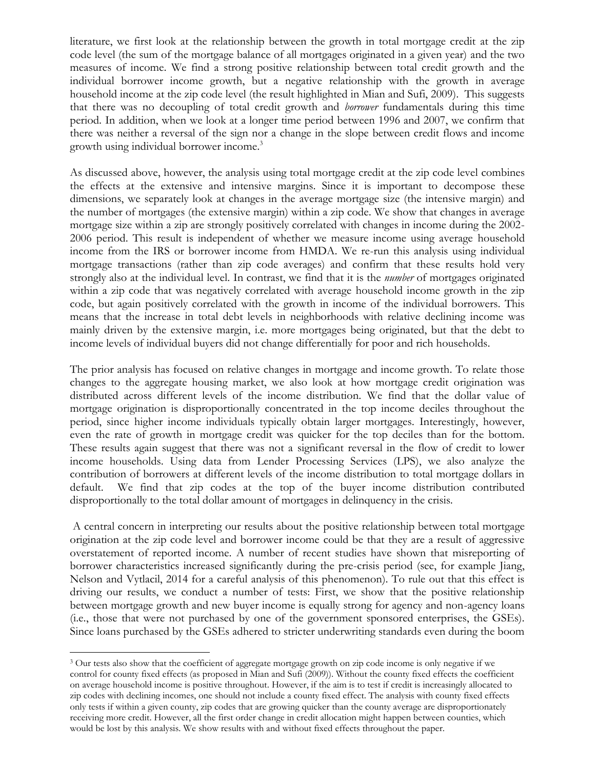literature, we first look at the relationship between the growth in total mortgage credit at the zip code level (the sum of the mortgage balance of all mortgages originated in a given year) and the two measures of income. We find a strong positive relationship between total credit growth and the individual borrower income growth, but a negative relationship with the growth in average household income at the zip code level (the result highlighted in Mian and Sufi, 2009). This suggests that there was no decoupling of total credit growth and *borrower* fundamentals during this time period. In addition, when we look at a longer time period between 1996 and 2007, we confirm that there was neither a reversal of the sign nor a change in the slope between credit flows and income growth using individual borrower income.<sup>3</sup>

As discussed above, however, the analysis using total mortgage credit at the zip code level combines the effects at the extensive and intensive margins. Since it is important to decompose these dimensions, we separately look at changes in the average mortgage size (the intensive margin) and the number of mortgages (the extensive margin) within a zip code. We show that changes in average mortgage size within a zip are strongly positively correlated with changes in income during the 2002- 2006 period. This result is independent of whether we measure income using average household income from the IRS or borrower income from HMDA. We re-run this analysis using individual mortgage transactions (rather than zip code averages) and confirm that these results hold very strongly also at the individual level. In contrast, we find that it is the *number* of mortgages originated within a zip code that was negatively correlated with average household income growth in the zip code, but again positively correlated with the growth in income of the individual borrowers. This means that the increase in total debt levels in neighborhoods with relative declining income was mainly driven by the extensive margin, i.e. more mortgages being originated, but that the debt to income levels of individual buyers did not change differentially for poor and rich households.

The prior analysis has focused on relative changes in mortgage and income growth. To relate those changes to the aggregate housing market, we also look at how mortgage credit origination was distributed across different levels of the income distribution. We find that the dollar value of mortgage origination is disproportionally concentrated in the top income deciles throughout the period, since higher income individuals typically obtain larger mortgages. Interestingly, however, even the rate of growth in mortgage credit was quicker for the top deciles than for the bottom. These results again suggest that there was not a significant reversal in the flow of credit to lower income households. Using data from Lender Processing Services (LPS), we also analyze the contribution of borrowers at different levels of the income distribution to total mortgage dollars in default. We find that zip codes at the top of the buyer income distribution contributed disproportionally to the total dollar amount of mortgages in delinquency in the crisis.

A central concern in interpreting our results about the positive relationship between total mortgage origination at the zip code level and borrower income could be that they are a result of aggressive overstatement of reported income. A number of recent studies have shown that misreporting of borrower characteristics increased significantly during the pre-crisis period (see, for example Jiang, Nelson and Vytlacil, 2014 for a careful analysis of this phenomenon). To rule out that this effect is driving our results, we conduct a number of tests: First, we show that the positive relationship between mortgage growth and new buyer income is equally strong for agency and non-agency loans (i.e., those that were not purchased by one of the government sponsored enterprises, the GSEs). Since loans purchased by the GSEs adhered to stricter underwriting standards even during the boom

<sup>&</sup>lt;sup>3</sup> Our tests also show that the coefficient of aggregate mortgage growth on zip code income is only negative if we control for county fixed effects (as proposed in Mian and Sufi (2009)). Without the county fixed effects the coefficient on average household income is positive throughout. However, if the aim is to test if credit is increasingly allocated to zip codes with declining incomes, one should not include a county fixed effect. The analysis with county fixed effects only tests if within a given county, zip codes that are growing quicker than the county average are disproportionately receiving more credit. However, all the first order change in credit allocation might happen between counties, which would be lost by this analysis. We show results with and without fixed effects throughout the paper.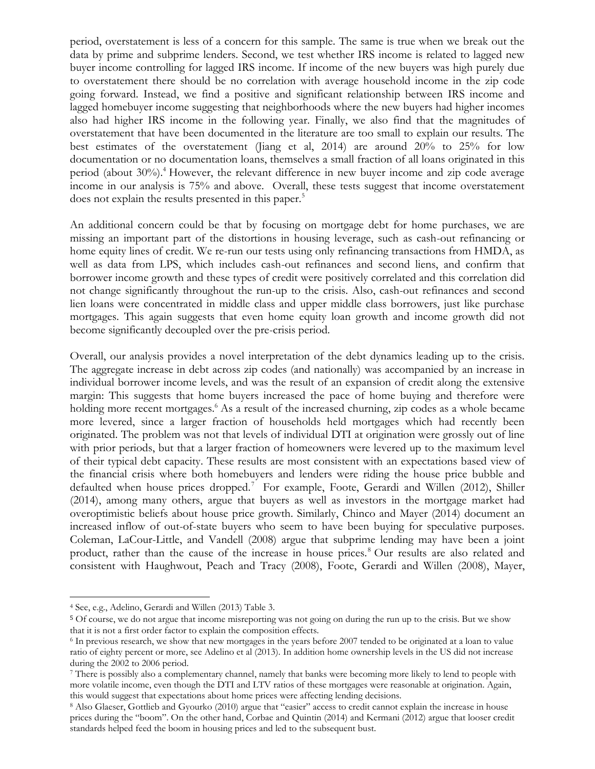period, overstatement is less of a concern for this sample. The same is true when we break out the data by prime and subprime lenders. Second, we test whether IRS income is related to lagged new buyer income controlling for lagged IRS income. If income of the new buyers was high purely due to overstatement there should be no correlation with average household income in the zip code going forward. Instead, we find a positive and significant relationship between IRS income and lagged homebuyer income suggesting that neighborhoods where the new buyers had higher incomes also had higher IRS income in the following year. Finally, we also find that the magnitudes of overstatement that have been documented in the literature are too small to explain our results. The best estimates of the overstatement (Jiang et al, 2014) are around 20% to 25% for low documentation or no documentation loans, themselves a small fraction of all loans originated in this period (about 30%).<sup>4</sup> However, the relevant difference in new buyer income and zip code average income in our analysis is 75% and above. Overall, these tests suggest that income overstatement does not explain the results presented in this paper.<sup>5</sup>

An additional concern could be that by focusing on mortgage debt for home purchases, we are missing an important part of the distortions in housing leverage, such as cash-out refinancing or home equity lines of credit. We re-run our tests using only refinancing transactions from HMDA, as well as data from LPS, which includes cash-out refinances and second liens, and confirm that borrower income growth and these types of credit were positively correlated and this correlation did not change significantly throughout the run-up to the crisis. Also, cash-out refinances and second lien loans were concentrated in middle class and upper middle class borrowers, just like purchase mortgages. This again suggests that even home equity loan growth and income growth did not become significantly decoupled over the pre-crisis period.

Overall, our analysis provides a novel interpretation of the debt dynamics leading up to the crisis. The aggregate increase in debt across zip codes (and nationally) was accompanied by an increase in individual borrower income levels, and was the result of an expansion of credit along the extensive margin: This suggests that home buyers increased the pace of home buying and therefore were holding more recent mortgages.<sup>6</sup> As a result of the increased churning, zip codes as a whole became more levered, since a larger fraction of households held mortgages which had recently been originated. The problem was not that levels of individual DTI at origination were grossly out of line with prior periods, but that a larger fraction of homeowners were levered up to the maximum level of their typical debt capacity. These results are most consistent with an expectations based view of the financial crisis where both homebuyers and lenders were riding the house price bubble and defaulted when house prices dropped.<sup>7</sup> For example, Foote, Gerardi and Willen (2012), Shiller (2014), among many others, argue that buyers as well as investors in the mortgage market had overoptimistic beliefs about house price growth. Similarly, Chinco and Mayer (2014) document an increased inflow of out-of-state buyers who seem to have been buying for speculative purposes. Coleman, LaCour-Little, and Vandell (2008) argue that subprime lending may have been a joint product, rather than the cause of the increase in house prices.<sup>8</sup> Our results are also related and consistent with Haughwout, Peach and Tracy (2008), Foote, Gerardi and Willen (2008), Mayer,

<sup>4</sup> See, e.g., Adelino, Gerardi and Willen (2013) Table 3.

<sup>5</sup> Of course, we do not argue that income misreporting was not going on during the run up to the crisis. But we show that it is not a first order factor to explain the composition effects.

<sup>6</sup> In previous research, we show that new mortgages in the years before 2007 tended to be originated at a loan to value ratio of eighty percent or more, see Adelino et al (2013). In addition home ownership levels in the US did not increase during the 2002 to 2006 period.

<sup>7</sup> There is possibly also a complementary channel, namely that banks were becoming more likely to lend to people with more volatile income, even though the DTI and LTV ratios of these mortgages were reasonable at origination. Again, this would suggest that expectations about home prices were affecting lending decisions.

<sup>&</sup>lt;sup>8</sup> Also Glaeser, Gottlieb and Gyourko (2010) argue that "easier" access to credit cannot explain the increase in house prices during the "boom". On the other hand, Corbae and Quintin (2014) and Kermani (2012) argue that looser credit standards helped feed the boom in housing prices and led to the subsequent bust.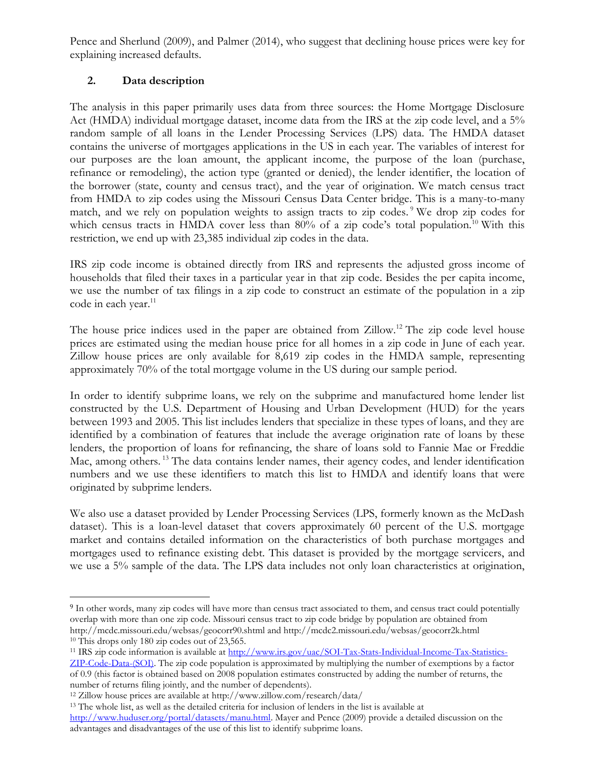Pence and Sherlund (2009), and Palmer (2014), who suggest that declining house prices were key for explaining increased defaults.

# **2. Data description**

The analysis in this paper primarily uses data from three sources: the Home Mortgage Disclosure Act (HMDA) individual mortgage dataset, income data from the IRS at the zip code level, and a 5% random sample of all loans in the Lender Processing Services (LPS) data. The HMDA dataset contains the universe of mortgages applications in the US in each year. The variables of interest for our purposes are the loan amount, the applicant income, the purpose of the loan (purchase, refinance or remodeling), the action type (granted or denied), the lender identifier, the location of the borrower (state, county and census tract), and the year of origination. We match census tract from HMDA to zip codes using the Missouri Census Data Center bridge. This is a many-to-many match, and we rely on population weights to assign tracts to zip codes. <sup>9</sup> We drop zip codes for which census tracts in HMDA cover less than  $80\%$  of a zip code's total population.<sup>10</sup> With this restriction, we end up with 23,385 individual zip codes in the data.

IRS zip code income is obtained directly from IRS and represents the adjusted gross income of households that filed their taxes in a particular year in that zip code. Besides the per capita income, we use the number of tax filings in a zip code to construct an estimate of the population in a zip code in each year.<sup>11</sup>

The house price indices used in the paper are obtained from Zillow.<sup>12</sup> The zip code level house prices are estimated using the median house price for all homes in a zip code in June of each year. Zillow house prices are only available for 8,619 zip codes in the HMDA sample, representing approximately 70% of the total mortgage volume in the US during our sample period.

In order to identify subprime loans, we rely on the subprime and manufactured home lender list constructed by the U.S. Department of Housing and Urban Development (HUD) for the years between 1993 and 2005. This list includes lenders that specialize in these types of loans, and they are identified by a combination of features that include the average origination rate of loans by these lenders, the proportion of loans for refinancing, the share of loans sold to Fannie Mae or Freddie Mac, among others.<sup>13</sup> The data contains lender names, their agency codes, and lender identification numbers and we use these identifiers to match this list to HMDA and identify loans that were originated by subprime lenders.

We also use a dataset provided by Lender Processing Services (LPS, formerly known as the McDash dataset). This is a loan-level dataset that covers approximately 60 percent of the U.S. mortgage market and contains detailed information on the characteristics of both purchase mortgages and mortgages used to refinance existing debt. This dataset is provided by the mortgage servicers, and we use a 5% sample of the data. The LPS data includes not only loan characteristics at origination,

<sup>11</sup> IRS zip code information is available at [http://www.irs.gov/uac/SOI-Tax-Stats-Individual-Income-Tax-Statistics-](http://www.irs.gov/uac/SOI-Tax-Stats-Individual-Income-Tax-Statistics-ZIP-Code-Data-(SOI))

<sup>9</sup> In other words, many zip codes will have more than census tract associated to them, and census tract could potentially overlap with more than one zip code. Missouri census tract to zip code bridge by population are obtained from http://mcdc.missouri.edu/websas/geocorr90.shtml and http://mcdc2.missouri.edu/websas/geocorr2k.html <sup>10</sup> This drops only 180 zip codes out of 23,565.

[ZIP-Code-Data-\(SOI\).](http://www.irs.gov/uac/SOI-Tax-Stats-Individual-Income-Tax-Statistics-ZIP-Code-Data-(SOI)) The zip code population is approximated by multiplying the number of exemptions by a factor of 0.9 (this factor is obtained based on 2008 population estimates constructed by adding the number of returns, the number of returns filing jointly, and the number of dependents).

<sup>12</sup> Zillow house prices are available at http://www.zillow.com/research/data/

<sup>&</sup>lt;sup>13</sup> The whole list, as well as the detailed criteria for inclusion of lenders in the list is available at

[http://www.huduser.org/portal/datasets/manu.html.](http://www.huduser.org/portal/datasets/manu.html) Mayer and Pence (2009) provide a detailed discussion on the advantages and disadvantages of the use of this list to identify subprime loans.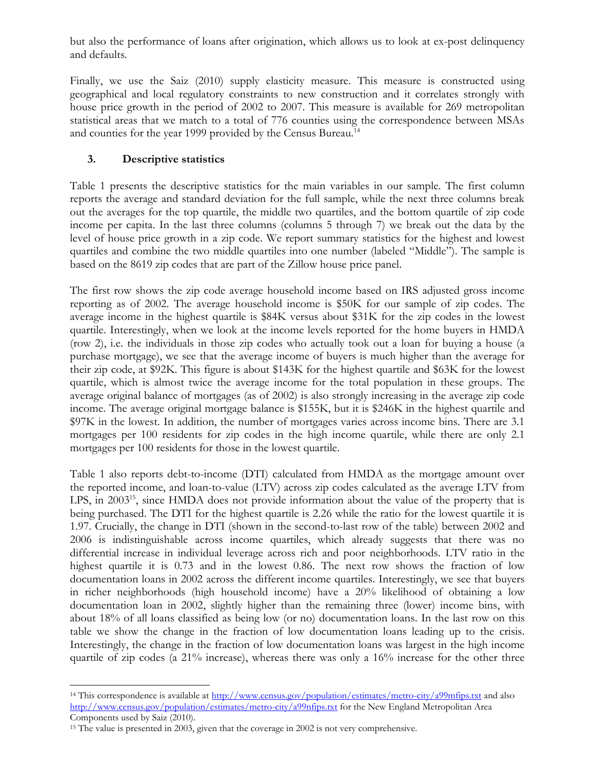but also the performance of loans after origination, which allows us to look at ex-post delinquency and defaults.

Finally, we use the Saiz (2010) supply elasticity measure. This measure is constructed using geographical and local regulatory constraints to new construction and it correlates strongly with house price growth in the period of 2002 to 2007. This measure is available for 269 metropolitan statistical areas that we match to a total of 776 counties using the correspondence between MSAs and counties for the year 1999 provided by the Census Bureau.<sup>14</sup>

# **3. Descriptive statistics**

Table 1 presents the descriptive statistics for the main variables in our sample. The first column reports the average and standard deviation for the full sample, while the next three columns break out the averages for the top quartile, the middle two quartiles, and the bottom quartile of zip code income per capita. In the last three columns (columns 5 through 7) we break out the data by the level of house price growth in a zip code. We report summary statistics for the highest and lowest quartiles and combine the two middle quartiles into one number (labeled "Middle"). The sample is based on the 8619 zip codes that are part of the Zillow house price panel.

The first row shows the zip code average household income based on IRS adjusted gross income reporting as of 2002. The average household income is \$50K for our sample of zip codes. The average income in the highest quartile is \$84K versus about \$31K for the zip codes in the lowest quartile. Interestingly, when we look at the income levels reported for the home buyers in HMDA (row 2), i.e. the individuals in those zip codes who actually took out a loan for buying a house (a purchase mortgage), we see that the average income of buyers is much higher than the average for their zip code, at \$92K. This figure is about \$143K for the highest quartile and \$63K for the lowest quartile, which is almost twice the average income for the total population in these groups. The average original balance of mortgages (as of 2002) is also strongly increasing in the average zip code income. The average original mortgage balance is \$155K, but it is \$246K in the highest quartile and \$97K in the lowest. In addition, the number of mortgages varies across income bins. There are 3.1 mortgages per 100 residents for zip codes in the high income quartile, while there are only 2.1 mortgages per 100 residents for those in the lowest quartile.

Table 1 also reports debt-to-income (DTI) calculated from HMDA as the mortgage amount over the reported income, and loan-to-value (LTV) across zip codes calculated as the average LTV from LPS, in 2003<sup>15</sup>, since HMDA does not provide information about the value of the property that is being purchased. The DTI for the highest quartile is 2.26 while the ratio for the lowest quartile it is 1.97. Crucially, the change in DTI (shown in the second-to-last row of the table) between 2002 and 2006 is indistinguishable across income quartiles, which already suggests that there was no differential increase in individual leverage across rich and poor neighborhoods. LTV ratio in the highest quartile it is 0.73 and in the lowest 0.86. The next row shows the fraction of low documentation loans in 2002 across the different income quartiles. Interestingly, we see that buyers in richer neighborhoods (high household income) have a 20% likelihood of obtaining a low documentation loan in 2002, slightly higher than the remaining three (lower) income bins, with about 18% of all loans classified as being low (or no) documentation loans. In the last row on this table we show the change in the fraction of low documentation loans leading up to the crisis. Interestingly, the change in the fraction of low documentation loans was largest in the high income quartile of zip codes (a 21% increase), whereas there was only a 16% increase for the other three

<sup>&</sup>lt;sup>14</sup> This correspondence is available at<http://www.census.gov/population/estimates/metro-city/a99mfips.txt>and also [http://www.census.gov/population/estimates/metro-city/a99nfips.txt f](http://www.census.gov/population/estimates/metro-city/a99nfips.txt)or the New England Metropolitan Area Components used by Saiz (2010).

<sup>&</sup>lt;sup>15</sup> The value is presented in 2003, given that the coverage in 2002 is not very comprehensive.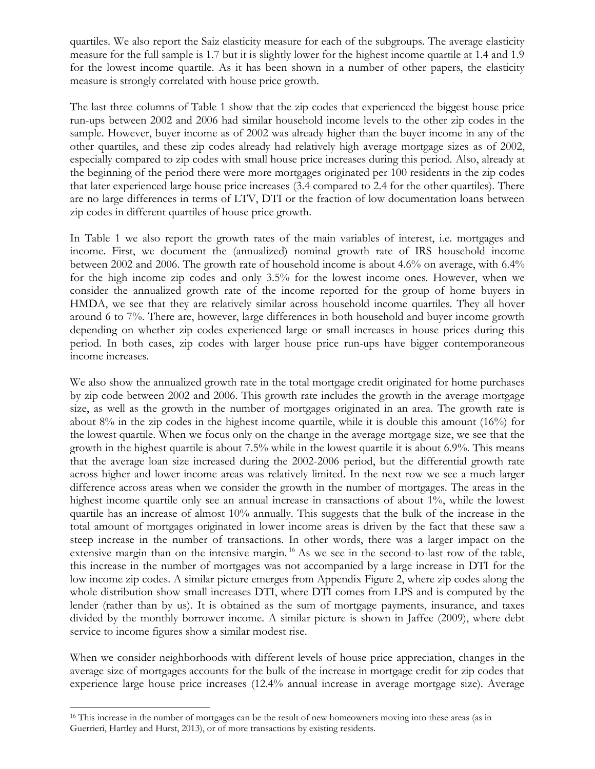quartiles. We also report the Saiz elasticity measure for each of the subgroups. The average elasticity measure for the full sample is 1.7 but it is slightly lower for the highest income quartile at 1.4 and 1.9 for the lowest income quartile. As it has been shown in a number of other papers, the elasticity measure is strongly correlated with house price growth.

The last three columns of Table 1 show that the zip codes that experienced the biggest house price run-ups between 2002 and 2006 had similar household income levels to the other zip codes in the sample. However, buyer income as of 2002 was already higher than the buyer income in any of the other quartiles, and these zip codes already had relatively high average mortgage sizes as of 2002, especially compared to zip codes with small house price increases during this period. Also, already at the beginning of the period there were more mortgages originated per 100 residents in the zip codes that later experienced large house price increases (3.4 compared to 2.4 for the other quartiles). There are no large differences in terms of LTV, DTI or the fraction of low documentation loans between zip codes in different quartiles of house price growth.

In Table 1 we also report the growth rates of the main variables of interest, i.e. mortgages and income. First, we document the (annualized) nominal growth rate of IRS household income between 2002 and 2006. The growth rate of household income is about 4.6% on average, with 6.4% for the high income zip codes and only 3.5% for the lowest income ones. However, when we consider the annualized growth rate of the income reported for the group of home buyers in HMDA, we see that they are relatively similar across household income quartiles. They all hover around 6 to 7%. There are, however, large differences in both household and buyer income growth depending on whether zip codes experienced large or small increases in house prices during this period. In both cases, zip codes with larger house price run-ups have bigger contemporaneous income increases.

We also show the annualized growth rate in the total mortgage credit originated for home purchases by zip code between 2002 and 2006. This growth rate includes the growth in the average mortgage size, as well as the growth in the number of mortgages originated in an area. The growth rate is about 8% in the zip codes in the highest income quartile, while it is double this amount (16%) for the lowest quartile. When we focus only on the change in the average mortgage size, we see that the growth in the highest quartile is about 7.5% while in the lowest quartile it is about 6.9%. This means that the average loan size increased during the 2002-2006 period, but the differential growth rate across higher and lower income areas was relatively limited. In the next row we see a much larger difference across areas when we consider the growth in the number of mortgages. The areas in the highest income quartile only see an annual increase in transactions of about 1%, while the lowest quartile has an increase of almost 10% annually. This suggests that the bulk of the increase in the total amount of mortgages originated in lower income areas is driven by the fact that these saw a steep increase in the number of transactions. In other words, there was a larger impact on the extensive margin than on the intensive margin.<sup>16</sup> As we see in the second-to-last row of the table, this increase in the number of mortgages was not accompanied by a large increase in DTI for the low income zip codes. A similar picture emerges from Appendix Figure 2, where zip codes along the whole distribution show small increases DTI, where DTI comes from LPS and is computed by the lender (rather than by us). It is obtained as the sum of mortgage payments, insurance, and taxes divided by the monthly borrower income. A similar picture is shown in Jaffee (2009), where debt service to income figures show a similar modest rise.

When we consider neighborhoods with different levels of house price appreciation, changes in the average size of mortgages accounts for the bulk of the increase in mortgage credit for zip codes that experience large house price increases (12.4% annual increase in average mortgage size). Average

<sup>&</sup>lt;sup>16</sup> This increase in the number of mortgages can be the result of new homeowners moving into these areas (as in Guerrieri, Hartley and Hurst, 2013), or of more transactions by existing residents.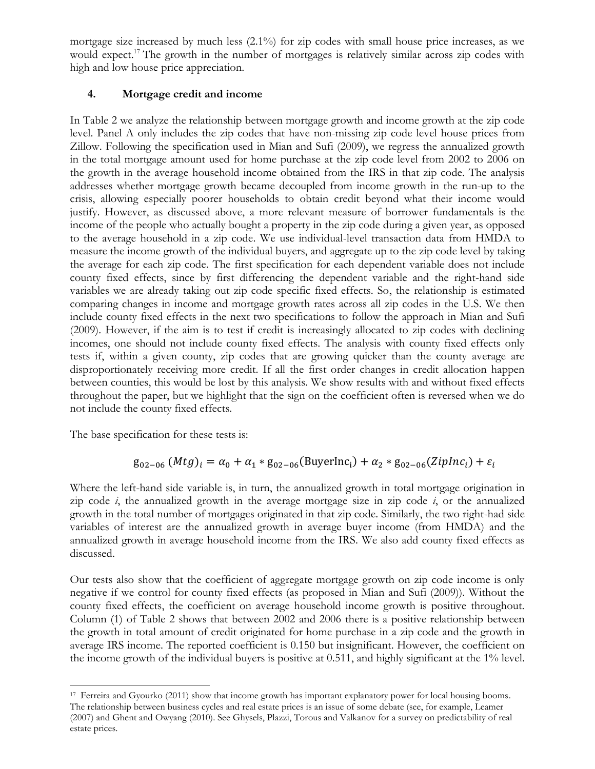mortgage size increased by much less (2.1%) for zip codes with small house price increases, as we would expect.<sup>17</sup> The growth in the number of mortgages is relatively similar across zip codes with high and low house price appreciation.

# **4. Mortgage credit and income**

In Table 2 we analyze the relationship between mortgage growth and income growth at the zip code level. Panel A only includes the zip codes that have non-missing zip code level house prices from Zillow. Following the specification used in Mian and Sufi (2009), we regress the annualized growth in the total mortgage amount used for home purchase at the zip code level from 2002 to 2006 on the growth in the average household income obtained from the IRS in that zip code. The analysis addresses whether mortgage growth became decoupled from income growth in the run-up to the crisis, allowing especially poorer households to obtain credit beyond what their income would justify. However, as discussed above, a more relevant measure of borrower fundamentals is the income of the people who actually bought a property in the zip code during a given year, as opposed to the average household in a zip code. We use individual-level transaction data from HMDA to measure the income growth of the individual buyers, and aggregate up to the zip code level by taking the average for each zip code. The first specification for each dependent variable does not include county fixed effects, since by first differencing the dependent variable and the right-hand side variables we are already taking out zip code specific fixed effects. So, the relationship is estimated comparing changes in income and mortgage growth rates across all zip codes in the U.S. We then include county fixed effects in the next two specifications to follow the approach in Mian and Sufi (2009). However, if the aim is to test if credit is increasingly allocated to zip codes with declining incomes, one should not include county fixed effects. The analysis with county fixed effects only tests if, within a given county, zip codes that are growing quicker than the county average are disproportionately receiving more credit. If all the first order changes in credit allocation happen between counties, this would be lost by this analysis. We show results with and without fixed effects throughout the paper, but we highlight that the sign on the coefficient often is reversed when we do not include the county fixed effects.

The base specification for these tests is:

 $\overline{\phantom{a}}$ 

# $g_{02-06} (Mtg)_i = \alpha_0 + \alpha_1 * g_{02-06} (BuyerInc_i) + \alpha_2 * g_{02-06} (ZipInc_i) + \varepsilon_i$

Where the left-hand side variable is, in turn, the annualized growth in total mortgage origination in zip code  $i$ , the annualized growth in the average mortgage size in zip code  $i$ , or the annualized growth in the total number of mortgages originated in that zip code. Similarly, the two right-had side variables of interest are the annualized growth in average buyer income (from HMDA) and the annualized growth in average household income from the IRS. We also add county fixed effects as discussed.

Our tests also show that the coefficient of aggregate mortgage growth on zip code income is only negative if we control for county fixed effects (as proposed in Mian and Sufi (2009)). Without the county fixed effects, the coefficient on average household income growth is positive throughout. Column (1) of Table 2 shows that between 2002 and 2006 there is a positive relationship between the growth in total amount of credit originated for home purchase in a zip code and the growth in average IRS income. The reported coefficient is 0.150 but insignificant. However, the coefficient on the income growth of the individual buyers is positive at 0.511, and highly significant at the 1% level.

<sup>&</sup>lt;sup>17</sup> Ferreira and Gyourko (2011) show that income growth has important explanatory power for local housing booms. The relationship between business cycles and real estate prices is an issue of some debate (see, for example, Leamer (2007) and Ghent and Owyang (2010). See Ghysels, Plazzi, Torous and Valkanov for a survey on predictability of real estate prices.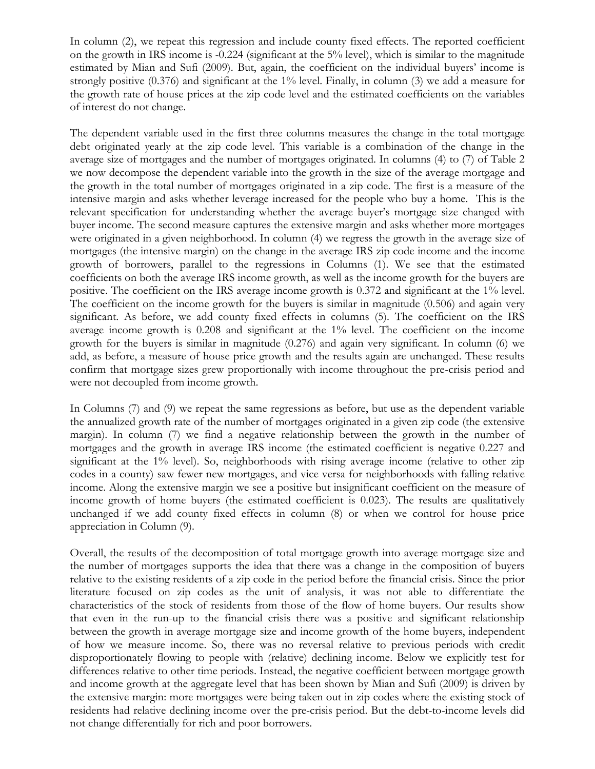In column (2), we repeat this regression and include county fixed effects. The reported coefficient on the growth in IRS income is -0.224 (significant at the 5% level), which is similar to the magnitude estimated by Mian and Sufi (2009). But, again, the coefficient on the individual buyers' income is strongly positive (0.376) and significant at the 1% level. Finally, in column (3) we add a measure for the growth rate of house prices at the zip code level and the estimated coefficients on the variables of interest do not change.

The dependent variable used in the first three columns measures the change in the total mortgage debt originated yearly at the zip code level. This variable is a combination of the change in the average size of mortgages and the number of mortgages originated. In columns (4) to (7) of Table 2 we now decompose the dependent variable into the growth in the size of the average mortgage and the growth in the total number of mortgages originated in a zip code. The first is a measure of the intensive margin and asks whether leverage increased for the people who buy a home. This is the relevant specification for understanding whether the average buyer's mortgage size changed with buyer income. The second measure captures the extensive margin and asks whether more mortgages were originated in a given neighborhood. In column (4) we regress the growth in the average size of mortgages (the intensive margin) on the change in the average IRS zip code income and the income growth of borrowers, parallel to the regressions in Columns (1). We see that the estimated coefficients on both the average IRS income growth, as well as the income growth for the buyers are positive. The coefficient on the IRS average income growth is 0.372 and significant at the 1% level. The coefficient on the income growth for the buyers is similar in magnitude (0.506) and again very significant. As before, we add county fixed effects in columns (5). The coefficient on the IRS average income growth is 0.208 and significant at the 1% level. The coefficient on the income growth for the buyers is similar in magnitude (0.276) and again very significant. In column (6) we add, as before, a measure of house price growth and the results again are unchanged. These results confirm that mortgage sizes grew proportionally with income throughout the pre-crisis period and were not decoupled from income growth.

In Columns (7) and (9) we repeat the same regressions as before, but use as the dependent variable the annualized growth rate of the number of mortgages originated in a given zip code (the extensive margin). In column (7) we find a negative relationship between the growth in the number of mortgages and the growth in average IRS income (the estimated coefficient is negative 0.227 and significant at the 1% level). So, neighborhoods with rising average income (relative to other zip codes in a county) saw fewer new mortgages, and vice versa for neighborhoods with falling relative income. Along the extensive margin we see a positive but insignificant coefficient on the measure of income growth of home buyers (the estimated coefficient is 0.023). The results are qualitatively unchanged if we add county fixed effects in column (8) or when we control for house price appreciation in Column (9).

Overall, the results of the decomposition of total mortgage growth into average mortgage size and the number of mortgages supports the idea that there was a change in the composition of buyers relative to the existing residents of a zip code in the period before the financial crisis. Since the prior literature focused on zip codes as the unit of analysis, it was not able to differentiate the characteristics of the stock of residents from those of the flow of home buyers. Our results show that even in the run-up to the financial crisis there was a positive and significant relationship between the growth in average mortgage size and income growth of the home buyers, independent of how we measure income. So, there was no reversal relative to previous periods with credit disproportionately flowing to people with (relative) declining income. Below we explicitly test for differences relative to other time periods. Instead, the negative coefficient between mortgage growth and income growth at the aggregate level that has been shown by Mian and Sufi (2009) is driven by the extensive margin: more mortgages were being taken out in zip codes where the existing stock of residents had relative declining income over the pre-crisis period. But the debt-to-income levels did not change differentially for rich and poor borrowers.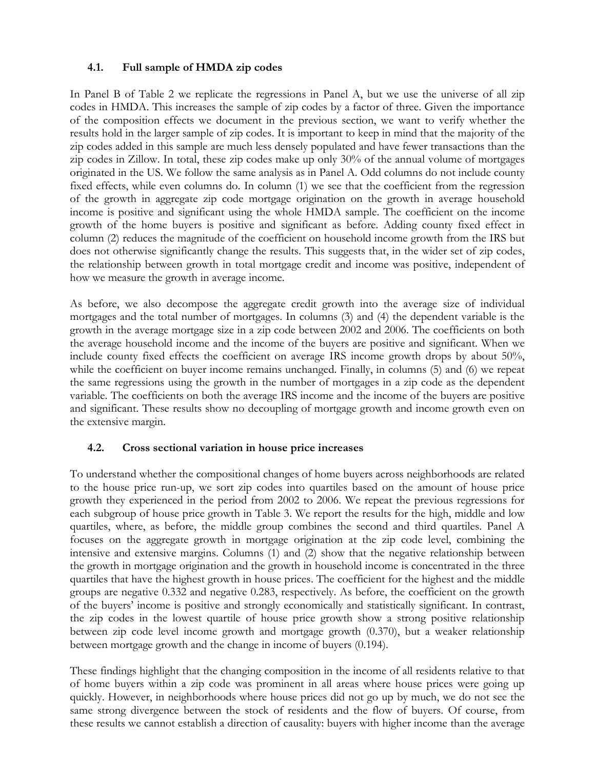# **4.1. Full sample of HMDA zip codes**

In Panel B of Table 2 we replicate the regressions in Panel A, but we use the universe of all zip codes in HMDA. This increases the sample of zip codes by a factor of three. Given the importance of the composition effects we document in the previous section, we want to verify whether the results hold in the larger sample of zip codes. It is important to keep in mind that the majority of the zip codes added in this sample are much less densely populated and have fewer transactions than the zip codes in Zillow. In total, these zip codes make up only 30% of the annual volume of mortgages originated in the US. We follow the same analysis as in Panel A. Odd columns do not include county fixed effects, while even columns do. In column (1) we see that the coefficient from the regression of the growth in aggregate zip code mortgage origination on the growth in average household income is positive and significant using the whole HMDA sample. The coefficient on the income growth of the home buyers is positive and significant as before. Adding county fixed effect in column (2) reduces the magnitude of the coefficient on household income growth from the IRS but does not otherwise significantly change the results. This suggests that, in the wider set of zip codes, the relationship between growth in total mortgage credit and income was positive, independent of how we measure the growth in average income.

As before, we also decompose the aggregate credit growth into the average size of individual mortgages and the total number of mortgages. In columns (3) and (4) the dependent variable is the growth in the average mortgage size in a zip code between 2002 and 2006. The coefficients on both the average household income and the income of the buyers are positive and significant. When we include county fixed effects the coefficient on average IRS income growth drops by about 50%, while the coefficient on buyer income remains unchanged. Finally, in columns (5) and (6) we repeat the same regressions using the growth in the number of mortgages in a zip code as the dependent variable. The coefficients on both the average IRS income and the income of the buyers are positive and significant. These results show no decoupling of mortgage growth and income growth even on the extensive margin.

## **4.2. Cross sectional variation in house price increases**

To understand whether the compositional changes of home buyers across neighborhoods are related to the house price run-up, we sort zip codes into quartiles based on the amount of house price growth they experienced in the period from 2002 to 2006. We repeat the previous regressions for each subgroup of house price growth in Table 3. We report the results for the high, middle and low quartiles, where, as before, the middle group combines the second and third quartiles. Panel A focuses on the aggregate growth in mortgage origination at the zip code level, combining the intensive and extensive margins. Columns (1) and (2) show that the negative relationship between the growth in mortgage origination and the growth in household income is concentrated in the three quartiles that have the highest growth in house prices. The coefficient for the highest and the middle groups are negative 0.332 and negative 0.283, respectively. As before, the coefficient on the growth of the buyers' income is positive and strongly economically and statistically significant. In contrast, the zip codes in the lowest quartile of house price growth show a strong positive relationship between zip code level income growth and mortgage growth (0.370), but a weaker relationship between mortgage growth and the change in income of buyers (0.194).

These findings highlight that the changing composition in the income of all residents relative to that of home buyers within a zip code was prominent in all areas where house prices were going up quickly. However, in neighborhoods where house prices did not go up by much, we do not see the same strong divergence between the stock of residents and the flow of buyers. Of course, from these results we cannot establish a direction of causality: buyers with higher income than the average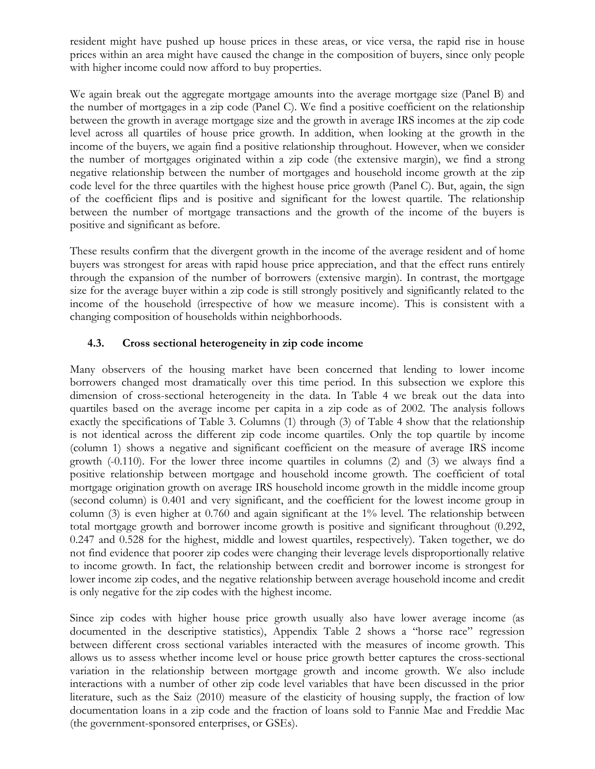resident might have pushed up house prices in these areas, or vice versa, the rapid rise in house prices within an area might have caused the change in the composition of buyers, since only people with higher income could now afford to buy properties.

We again break out the aggregate mortgage amounts into the average mortgage size (Panel B) and the number of mortgages in a zip code (Panel C). We find a positive coefficient on the relationship between the growth in average mortgage size and the growth in average IRS incomes at the zip code level across all quartiles of house price growth. In addition, when looking at the growth in the income of the buyers, we again find a positive relationship throughout. However, when we consider the number of mortgages originated within a zip code (the extensive margin), we find a strong negative relationship between the number of mortgages and household income growth at the zip code level for the three quartiles with the highest house price growth (Panel C). But, again, the sign of the coefficient flips and is positive and significant for the lowest quartile. The relationship between the number of mortgage transactions and the growth of the income of the buyers is positive and significant as before.

These results confirm that the divergent growth in the income of the average resident and of home buyers was strongest for areas with rapid house price appreciation, and that the effect runs entirely through the expansion of the number of borrowers (extensive margin). In contrast, the mortgage size for the average buyer within a zip code is still strongly positively and significantly related to the income of the household (irrespective of how we measure income). This is consistent with a changing composition of households within neighborhoods.

# **4.3. Cross sectional heterogeneity in zip code income**

Many observers of the housing market have been concerned that lending to lower income borrowers changed most dramatically over this time period. In this subsection we explore this dimension of cross-sectional heterogeneity in the data. In Table 4 we break out the data into quartiles based on the average income per capita in a zip code as of 2002. The analysis follows exactly the specifications of Table 3. Columns (1) through (3) of Table 4 show that the relationship is not identical across the different zip code income quartiles. Only the top quartile by income (column 1) shows a negative and significant coefficient on the measure of average IRS income growth (-0.110). For the lower three income quartiles in columns (2) and (3) we always find a positive relationship between mortgage and household income growth. The coefficient of total mortgage origination growth on average IRS household income growth in the middle income group (second column) is 0.401 and very significant, and the coefficient for the lowest income group in column (3) is even higher at 0.760 and again significant at the 1% level. The relationship between total mortgage growth and borrower income growth is positive and significant throughout (0.292, 0.247 and 0.528 for the highest, middle and lowest quartiles, respectively). Taken together, we do not find evidence that poorer zip codes were changing their leverage levels disproportionally relative to income growth. In fact, the relationship between credit and borrower income is strongest for lower income zip codes, and the negative relationship between average household income and credit is only negative for the zip codes with the highest income.

Since zip codes with higher house price growth usually also have lower average income (as documented in the descriptive statistics), Appendix Table 2 shows a "horse race" regression between different cross sectional variables interacted with the measures of income growth. This allows us to assess whether income level or house price growth better captures the cross-sectional variation in the relationship between mortgage growth and income growth. We also include interactions with a number of other zip code level variables that have been discussed in the prior literature, such as the Saiz (2010) measure of the elasticity of housing supply, the fraction of low documentation loans in a zip code and the fraction of loans sold to Fannie Mae and Freddie Mac (the government-sponsored enterprises, or GSEs).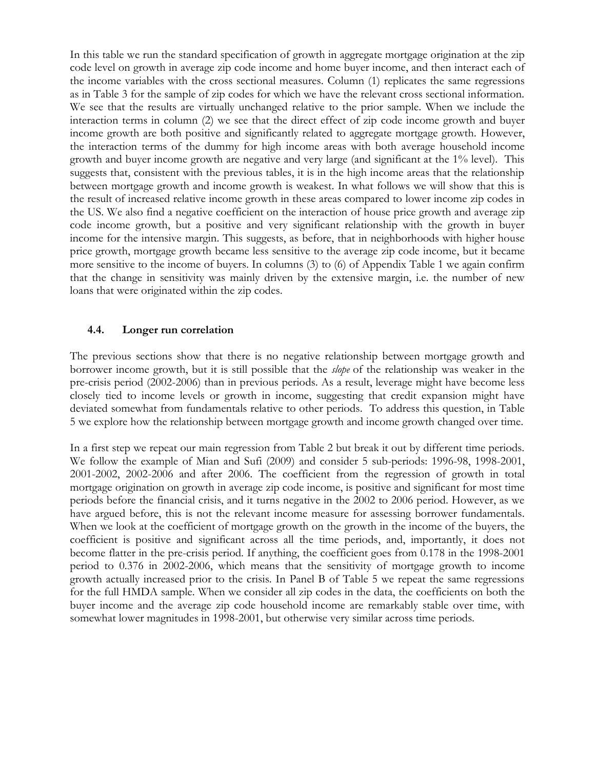In this table we run the standard specification of growth in aggregate mortgage origination at the zip code level on growth in average zip code income and home buyer income, and then interact each of the income variables with the cross sectional measures. Column (1) replicates the same regressions as in Table 3 for the sample of zip codes for which we have the relevant cross sectional information. We see that the results are virtually unchanged relative to the prior sample. When we include the interaction terms in column (2) we see that the direct effect of zip code income growth and buyer income growth are both positive and significantly related to aggregate mortgage growth. However, the interaction terms of the dummy for high income areas with both average household income growth and buyer income growth are negative and very large (and significant at the 1% level). This suggests that, consistent with the previous tables, it is in the high income areas that the relationship between mortgage growth and income growth is weakest. In what follows we will show that this is the result of increased relative income growth in these areas compared to lower income zip codes in the US. We also find a negative coefficient on the interaction of house price growth and average zip code income growth, but a positive and very significant relationship with the growth in buyer income for the intensive margin. This suggests, as before, that in neighborhoods with higher house price growth, mortgage growth became less sensitive to the average zip code income, but it became more sensitive to the income of buyers. In columns (3) to (6) of Appendix Table 1 we again confirm that the change in sensitivity was mainly driven by the extensive margin, i.e. the number of new loans that were originated within the zip codes.

### **4.4. Longer run correlation**

The previous sections show that there is no negative relationship between mortgage growth and borrower income growth, but it is still possible that the *slope* of the relationship was weaker in the pre-crisis period (2002-2006) than in previous periods. As a result, leverage might have become less closely tied to income levels or growth in income, suggesting that credit expansion might have deviated somewhat from fundamentals relative to other periods. To address this question, in Table 5 we explore how the relationship between mortgage growth and income growth changed over time.

In a first step we repeat our main regression from Table 2 but break it out by different time periods. We follow the example of Mian and Sufi (2009) and consider 5 sub-periods: 1996-98, 1998-2001, 2001-2002, 2002-2006 and after 2006. The coefficient from the regression of growth in total mortgage origination on growth in average zip code income, is positive and significant for most time periods before the financial crisis, and it turns negative in the 2002 to 2006 period. However, as we have argued before, this is not the relevant income measure for assessing borrower fundamentals. When we look at the coefficient of mortgage growth on the growth in the income of the buyers, the coefficient is positive and significant across all the time periods, and, importantly, it does not become flatter in the pre-crisis period. If anything, the coefficient goes from 0.178 in the 1998-2001 period to 0.376 in 2002-2006, which means that the sensitivity of mortgage growth to income growth actually increased prior to the crisis. In Panel B of Table 5 we repeat the same regressions for the full HMDA sample. When we consider all zip codes in the data, the coefficients on both the buyer income and the average zip code household income are remarkably stable over time, with somewhat lower magnitudes in 1998-2001, but otherwise very similar across time periods.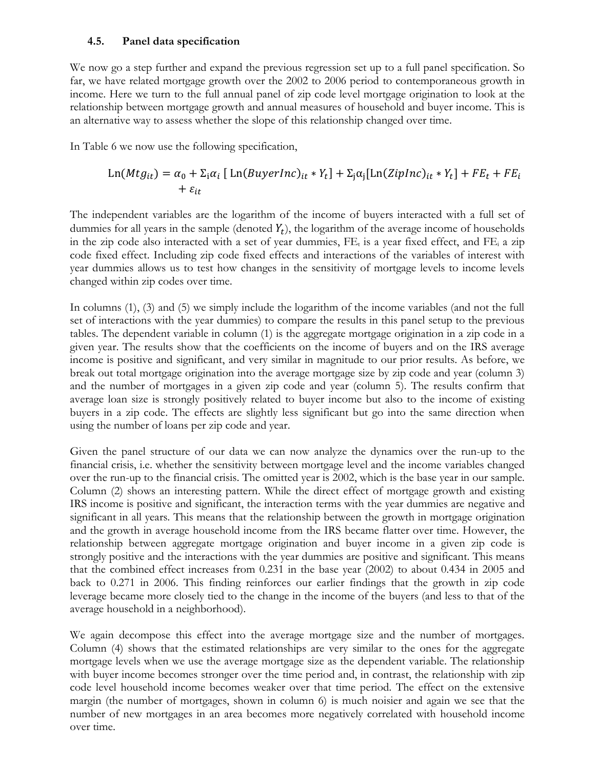### **4.5. Panel data specification**

We now go a step further and expand the previous regression set up to a full panel specification. So far, we have related mortgage growth over the 2002 to 2006 period to contemporaneous growth in income. Here we turn to the full annual panel of zip code level mortgage origination to look at the relationship between mortgage growth and annual measures of household and buyer income. This is an alternative way to assess whether the slope of this relationship changed over time.

In Table 6 we now use the following specification,

$$
\text{Ln}(Mtg_{it}) = \alpha_0 + \Sigma_i \alpha_i \left[ \text{Ln}(BuyerInc)_{it} * Y_t \right] + \Sigma_j \alpha_j [\text{Ln}(ZipInc)_{it} * Y_t] + FE_t + FE_i + FE_t
$$

The independent variables are the logarithm of the income of buyers interacted with a full set of dummies for all years in the sample (denoted  $Y_t$ ), the logarithm of the average income of households in the zip code also interacted with a set of year dummies,  $FE<sub>t</sub>$  is a year fixed effect, and  $FE<sub>i</sub>$  a zip code fixed effect. Including zip code fixed effects and interactions of the variables of interest with year dummies allows us to test how changes in the sensitivity of mortgage levels to income levels changed within zip codes over time.

In columns (1), (3) and (5) we simply include the logarithm of the income variables (and not the full set of interactions with the year dummies) to compare the results in this panel setup to the previous tables. The dependent variable in column (1) is the aggregate mortgage origination in a zip code in a given year. The results show that the coefficients on the income of buyers and on the IRS average income is positive and significant, and very similar in magnitude to our prior results. As before, we break out total mortgage origination into the average mortgage size by zip code and year (column 3) and the number of mortgages in a given zip code and year (column 5). The results confirm that average loan size is strongly positively related to buyer income but also to the income of existing buyers in a zip code. The effects are slightly less significant but go into the same direction when using the number of loans per zip code and year.

Given the panel structure of our data we can now analyze the dynamics over the run-up to the financial crisis, i.e. whether the sensitivity between mortgage level and the income variables changed over the run-up to the financial crisis. The omitted year is 2002, which is the base year in our sample. Column (2) shows an interesting pattern. While the direct effect of mortgage growth and existing IRS income is positive and significant, the interaction terms with the year dummies are negative and significant in all years. This means that the relationship between the growth in mortgage origination and the growth in average household income from the IRS became flatter over time. However, the relationship between aggregate mortgage origination and buyer income in a given zip code is strongly positive and the interactions with the year dummies are positive and significant. This means that the combined effect increases from 0.231 in the base year (2002) to about 0.434 in 2005 and back to 0.271 in 2006. This finding reinforces our earlier findings that the growth in zip code leverage became more closely tied to the change in the income of the buyers (and less to that of the average household in a neighborhood).

We again decompose this effect into the average mortgage size and the number of mortgages. Column (4) shows that the estimated relationships are very similar to the ones for the aggregate mortgage levels when we use the average mortgage size as the dependent variable. The relationship with buyer income becomes stronger over the time period and, in contrast, the relationship with zip code level household income becomes weaker over that time period. The effect on the extensive margin (the number of mortgages, shown in column 6) is much noisier and again we see that the number of new mortgages in an area becomes more negatively correlated with household income over time.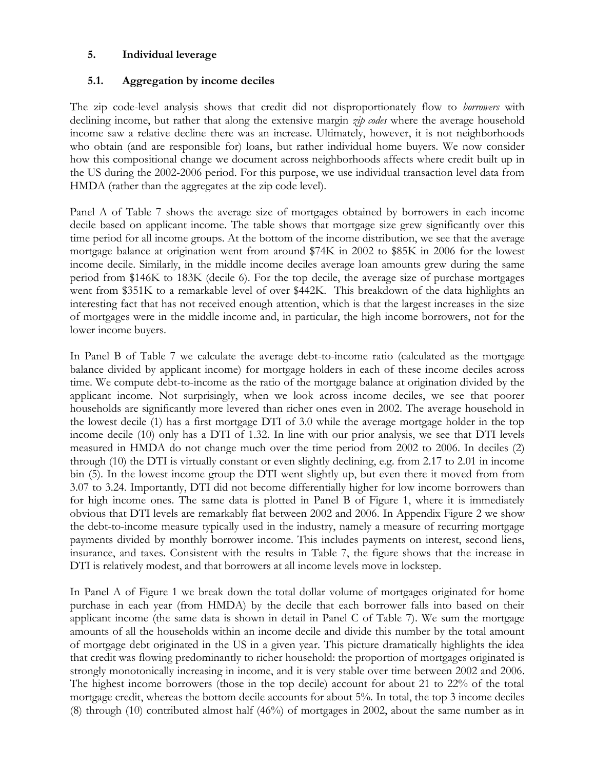## **5. Individual leverage**

# **5.1. Aggregation by income deciles**

The zip code-level analysis shows that credit did not disproportionately flow to *borrowers* with declining income, but rather that along the extensive margin *zip codes* where the average household income saw a relative decline there was an increase. Ultimately, however, it is not neighborhoods who obtain (and are responsible for) loans, but rather individual home buyers. We now consider how this compositional change we document across neighborhoods affects where credit built up in the US during the 2002-2006 period. For this purpose, we use individual transaction level data from HMDA (rather than the aggregates at the zip code level).

Panel A of Table 7 shows the average size of mortgages obtained by borrowers in each income decile based on applicant income. The table shows that mortgage size grew significantly over this time period for all income groups. At the bottom of the income distribution, we see that the average mortgage balance at origination went from around \$74K in 2002 to \$85K in 2006 for the lowest income decile. Similarly, in the middle income deciles average loan amounts grew during the same period from \$146K to 183K (decile 6). For the top decile, the average size of purchase mortgages went from \$351K to a remarkable level of over \$442K. This breakdown of the data highlights an interesting fact that has not received enough attention, which is that the largest increases in the size of mortgages were in the middle income and, in particular, the high income borrowers, not for the lower income buyers.

In Panel B of Table 7 we calculate the average debt-to-income ratio (calculated as the mortgage balance divided by applicant income) for mortgage holders in each of these income deciles across time. We compute debt-to-income as the ratio of the mortgage balance at origination divided by the applicant income. Not surprisingly, when we look across income deciles, we see that poorer households are significantly more levered than richer ones even in 2002. The average household in the lowest decile (1) has a first mortgage DTI of 3.0 while the average mortgage holder in the top income decile (10) only has a DTI of 1.32. In line with our prior analysis, we see that DTI levels measured in HMDA do not change much over the time period from 2002 to 2006. In deciles (2) through (10) the DTI is virtually constant or even slightly declining, e.g. from 2.17 to 2.01 in income bin (5). In the lowest income group the DTI went slightly up, but even there it moved from from 3.07 to 3.24. Importantly, DTI did not become differentially higher for low income borrowers than for high income ones. The same data is plotted in Panel B of Figure 1, where it is immediately obvious that DTI levels are remarkably flat between 2002 and 2006. In Appendix Figure 2 we show the debt-to-income measure typically used in the industry, namely a measure of recurring mortgage payments divided by monthly borrower income. This includes payments on interest, second liens, insurance, and taxes. Consistent with the results in Table 7, the figure shows that the increase in DTI is relatively modest, and that borrowers at all income levels move in lockstep.

In Panel A of Figure 1 we break down the total dollar volume of mortgages originated for home purchase in each year (from HMDA) by the decile that each borrower falls into based on their applicant income (the same data is shown in detail in Panel C of Table 7). We sum the mortgage amounts of all the households within an income decile and divide this number by the total amount of mortgage debt originated in the US in a given year. This picture dramatically highlights the idea that credit was flowing predominantly to richer household: the proportion of mortgages originated is strongly monotonically increasing in income, and it is very stable over time between 2002 and 2006. The highest income borrowers (those in the top decile) account for about 21 to 22% of the total mortgage credit, whereas the bottom decile accounts for about 5%. In total, the top 3 income deciles (8) through (10) contributed almost half (46%) of mortgages in 2002, about the same number as in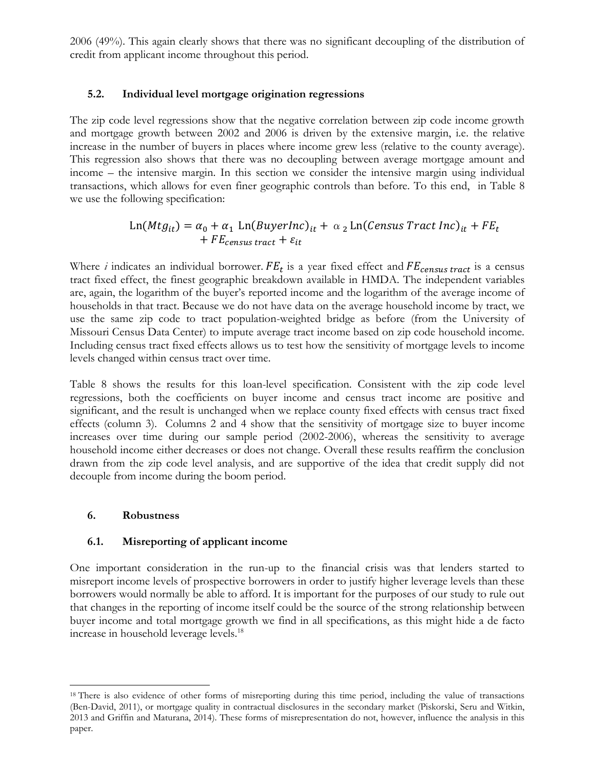2006 (49%). This again clearly shows that there was no significant decoupling of the distribution of credit from applicant income throughout this period.

# **5.2. Individual level mortgage origination regressions**

The zip code level regressions show that the negative correlation between zip code income growth and mortgage growth between 2002 and 2006 is driven by the extensive margin, i.e. the relative increase in the number of buyers in places where income grew less (relative to the county average). This regression also shows that there was no decoupling between average mortgage amount and income – the intensive margin. In this section we consider the intensive margin using individual transactions, which allows for even finer geographic controls than before. To this end, in Table 8 we use the following specification:

# $\text{Ln}(Mtg_{it}) = \alpha_0 + \alpha_1 \text{ Ln}(BuyerInc)_{it} + \alpha_2 \text{ Ln}(Census Tract Inc)_{it} + FE_t$  $+ F E_{census\, tract} + \varepsilon_{it}$

Where *i* indicates an individual borrower.  $FE_t$  is a year fixed effect and  $FE_{census\ tract}$  is a census tract fixed effect, the finest geographic breakdown available in HMDA. The independent variables are, again, the logarithm of the buyer's reported income and the logarithm of the average income of households in that tract. Because we do not have data on the average household income by tract, we use the same zip code to tract population-weighted bridge as before (from the University of Missouri Census Data Center) to impute average tract income based on zip code household income. Including census tract fixed effects allows us to test how the sensitivity of mortgage levels to income levels changed within census tract over time.

Table 8 shows the results for this loan-level specification. Consistent with the zip code level regressions, both the coefficients on buyer income and census tract income are positive and significant, and the result is unchanged when we replace county fixed effects with census tract fixed effects (column 3). Columns 2 and 4 show that the sensitivity of mortgage size to buyer income increases over time during our sample period (2002-2006), whereas the sensitivity to average household income either decreases or does not change. Overall these results reaffirm the conclusion drawn from the zip code level analysis, and are supportive of the idea that credit supply did not decouple from income during the boom period.

## **6. Robustness**

 $\overline{\phantom{a}}$ 

## **6.1. Misreporting of applicant income**

One important consideration in the run-up to the financial crisis was that lenders started to misreport income levels of prospective borrowers in order to justify higher leverage levels than these borrowers would normally be able to afford. It is important for the purposes of our study to rule out that changes in the reporting of income itself could be the source of the strong relationship between buyer income and total mortgage growth we find in all specifications, as this might hide a de facto increase in household leverage levels.<sup>18</sup>

<sup>&</sup>lt;sup>18</sup> There is also evidence of other forms of misreporting during this time period, including the value of transactions (Ben-David, 2011), or mortgage quality in contractual disclosures in the secondary market (Piskorski, Seru and Witkin, 2013 and Griffin and Maturana, 2014). These forms of misrepresentation do not, however, influence the analysis in this paper.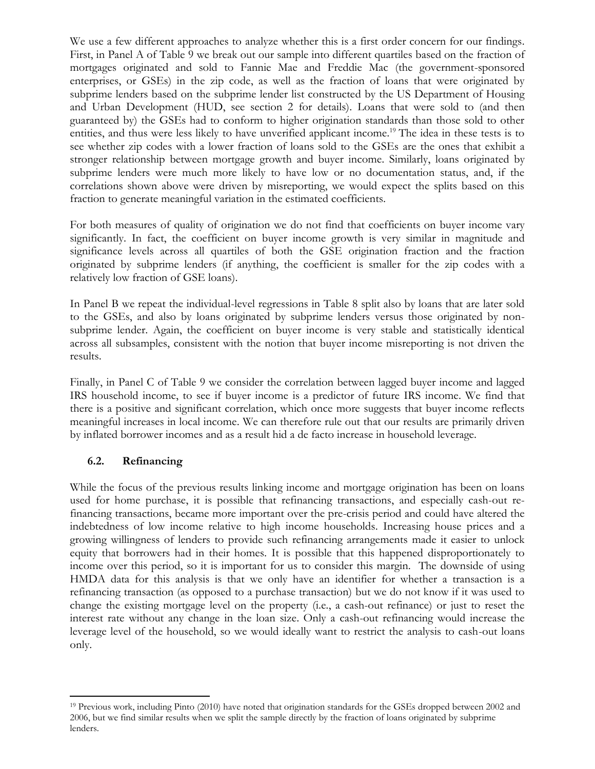We use a few different approaches to analyze whether this is a first order concern for our findings. First, in Panel A of Table 9 we break out our sample into different quartiles based on the fraction of mortgages originated and sold to Fannie Mae and Freddie Mac (the government-sponsored enterprises, or GSEs) in the zip code, as well as the fraction of loans that were originated by subprime lenders based on the subprime lender list constructed by the US Department of Housing and Urban Development (HUD, see section 2 for details). Loans that were sold to (and then guaranteed by) the GSEs had to conform to higher origination standards than those sold to other entities, and thus were less likely to have unverified applicant income.<sup>19</sup> The idea in these tests is to see whether zip codes with a lower fraction of loans sold to the GSEs are the ones that exhibit a stronger relationship between mortgage growth and buyer income. Similarly, loans originated by subprime lenders were much more likely to have low or no documentation status, and, if the correlations shown above were driven by misreporting, we would expect the splits based on this fraction to generate meaningful variation in the estimated coefficients.

For both measures of quality of origination we do not find that coefficients on buyer income vary significantly. In fact, the coefficient on buyer income growth is very similar in magnitude and significance levels across all quartiles of both the GSE origination fraction and the fraction originated by subprime lenders (if anything, the coefficient is smaller for the zip codes with a relatively low fraction of GSE loans).

In Panel B we repeat the individual-level regressions in Table 8 split also by loans that are later sold to the GSEs, and also by loans originated by subprime lenders versus those originated by nonsubprime lender. Again, the coefficient on buyer income is very stable and statistically identical across all subsamples, consistent with the notion that buyer income misreporting is not driven the results.

Finally, in Panel C of Table 9 we consider the correlation between lagged buyer income and lagged IRS household income, to see if buyer income is a predictor of future IRS income. We find that there is a positive and significant correlation, which once more suggests that buyer income reflects meaningful increases in local income. We can therefore rule out that our results are primarily driven by inflated borrower incomes and as a result hid a de facto increase in household leverage.

# **6.2. Refinancing**

 $\overline{\phantom{a}}$ 

While the focus of the previous results linking income and mortgage origination has been on loans used for home purchase, it is possible that refinancing transactions, and especially cash-out refinancing transactions, became more important over the pre-crisis period and could have altered the indebtedness of low income relative to high income households. Increasing house prices and a growing willingness of lenders to provide such refinancing arrangements made it easier to unlock equity that borrowers had in their homes. It is possible that this happened disproportionately to income over this period, so it is important for us to consider this margin. The downside of using HMDA data for this analysis is that we only have an identifier for whether a transaction is a refinancing transaction (as opposed to a purchase transaction) but we do not know if it was used to change the existing mortgage level on the property (i.e., a cash-out refinance) or just to reset the interest rate without any change in the loan size. Only a cash-out refinancing would increase the leverage level of the household, so we would ideally want to restrict the analysis to cash-out loans only.

<sup>19</sup> Previous work, including Pinto (2010) have noted that origination standards for the GSEs dropped between 2002 and 2006, but we find similar results when we split the sample directly by the fraction of loans originated by subprime lenders.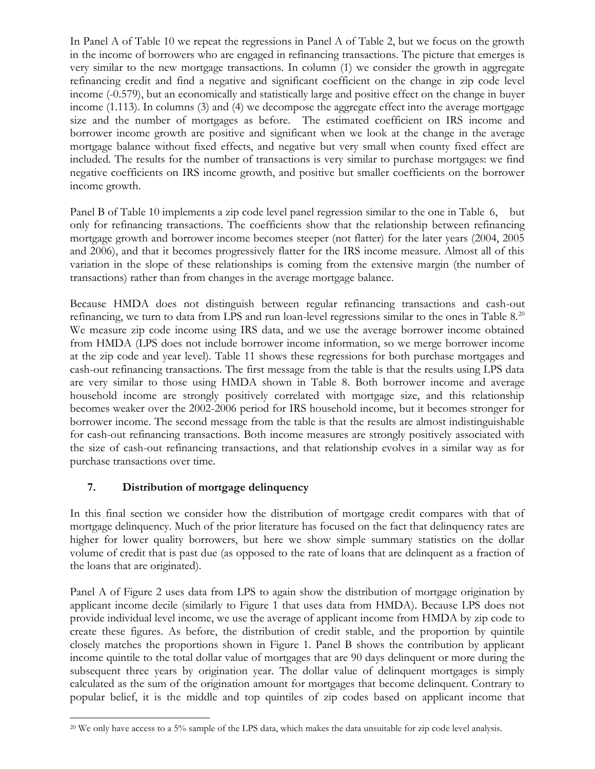In Panel A of Table 10 we repeat the regressions in Panel A of Table 2, but we focus on the growth in the income of borrowers who are engaged in refinancing transactions. The picture that emerges is very similar to the new mortgage transactions. In column (1) we consider the growth in aggregate refinancing credit and find a negative and significant coefficient on the change in zip code level income (-0.579), but an economically and statistically large and positive effect on the change in buyer income (1.113). In columns (3) and (4) we decompose the aggregate effect into the average mortgage size and the number of mortgages as before. The estimated coefficient on IRS income and borrower income growth are positive and significant when we look at the change in the average mortgage balance without fixed effects, and negative but very small when county fixed effect are included. The results for the number of transactions is very similar to purchase mortgages: we find negative coefficients on IRS income growth, and positive but smaller coefficients on the borrower income growth.

Panel B of Table 10 implements a zip code level panel regression similar to the one in Table 6, but only for refinancing transactions. The coefficients show that the relationship between refinancing mortgage growth and borrower income becomes steeper (not flatter) for the later years (2004, 2005 and 2006), and that it becomes progressively flatter for the IRS income measure. Almost all of this variation in the slope of these relationships is coming from the extensive margin (the number of transactions) rather than from changes in the average mortgage balance.

Because HMDA does not distinguish between regular refinancing transactions and cash-out refinancing, we turn to data from LPS and run loan-level regressions similar to the ones in Table 8.<sup>20</sup> We measure zip code income using IRS data, and we use the average borrower income obtained from HMDA (LPS does not include borrower income information, so we merge borrower income at the zip code and year level). Table 11 shows these regressions for both purchase mortgages and cash-out refinancing transactions. The first message from the table is that the results using LPS data are very similar to those using HMDA shown in Table 8. Both borrower income and average household income are strongly positively correlated with mortgage size, and this relationship becomes weaker over the 2002-2006 period for IRS household income, but it becomes stronger for borrower income. The second message from the table is that the results are almost indistinguishable for cash-out refinancing transactions. Both income measures are strongly positively associated with the size of cash-out refinancing transactions, and that relationship evolves in a similar way as for purchase transactions over time.

# **7. Distribution of mortgage delinquency**

In this final section we consider how the distribution of mortgage credit compares with that of mortgage delinquency. Much of the prior literature has focused on the fact that delinquency rates are higher for lower quality borrowers, but here we show simple summary statistics on the dollar volume of credit that is past due (as opposed to the rate of loans that are delinquent as a fraction of the loans that are originated).

Panel A of Figure 2 uses data from LPS to again show the distribution of mortgage origination by applicant income decile (similarly to Figure 1 that uses data from HMDA). Because LPS does not provide individual level income, we use the average of applicant income from HMDA by zip code to create these figures. As before, the distribution of credit stable, and the proportion by quintile closely matches the proportions shown in Figure 1. Panel B shows the contribution by applicant income quintile to the total dollar value of mortgages that are 90 days delinquent or more during the subsequent three years by origination year. The dollar value of delinquent mortgages is simply calculated as the sum of the origination amount for mortgages that become delinquent. Contrary to popular belief, it is the middle and top quintiles of zip codes based on applicant income that

 $\overline{\phantom{a}}$ <sup>20</sup> We only have access to a 5% sample of the LPS data, which makes the data unsuitable for zip code level analysis.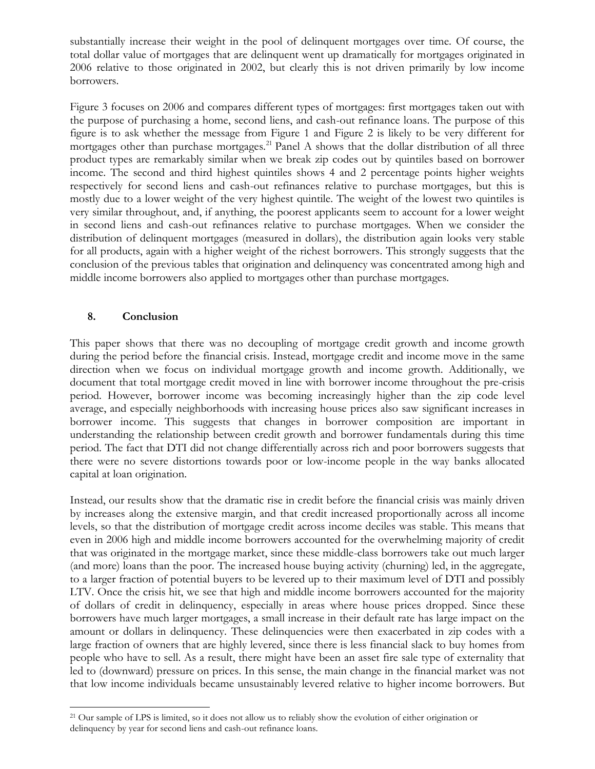substantially increase their weight in the pool of delinquent mortgages over time. Of course, the total dollar value of mortgages that are delinquent went up dramatically for mortgages originated in 2006 relative to those originated in 2002, but clearly this is not driven primarily by low income borrowers.

Figure 3 focuses on 2006 and compares different types of mortgages: first mortgages taken out with the purpose of purchasing a home, second liens, and cash-out refinance loans. The purpose of this figure is to ask whether the message from Figure 1 and Figure 2 is likely to be very different for mortgages other than purchase mortgages.<sup>21</sup> Panel A shows that the dollar distribution of all three product types are remarkably similar when we break zip codes out by quintiles based on borrower income. The second and third highest quintiles shows 4 and 2 percentage points higher weights respectively for second liens and cash-out refinances relative to purchase mortgages, but this is mostly due to a lower weight of the very highest quintile. The weight of the lowest two quintiles is very similar throughout, and, if anything, the poorest applicants seem to account for a lower weight in second liens and cash-out refinances relative to purchase mortgages. When we consider the distribution of delinquent mortgages (measured in dollars), the distribution again looks very stable for all products, again with a higher weight of the richest borrowers. This strongly suggests that the conclusion of the previous tables that origination and delinquency was concentrated among high and middle income borrowers also applied to mortgages other than purchase mortgages.

## **8. Conclusion**

 $\overline{\phantom{a}}$ 

This paper shows that there was no decoupling of mortgage credit growth and income growth during the period before the financial crisis. Instead, mortgage credit and income move in the same direction when we focus on individual mortgage growth and income growth. Additionally, we document that total mortgage credit moved in line with borrower income throughout the pre-crisis period. However, borrower income was becoming increasingly higher than the zip code level average, and especially neighborhoods with increasing house prices also saw significant increases in borrower income. This suggests that changes in borrower composition are important in understanding the relationship between credit growth and borrower fundamentals during this time period. The fact that DTI did not change differentially across rich and poor borrowers suggests that there were no severe distortions towards poor or low-income people in the way banks allocated capital at loan origination.

Instead, our results show that the dramatic rise in credit before the financial crisis was mainly driven by increases along the extensive margin, and that credit increased proportionally across all income levels, so that the distribution of mortgage credit across income deciles was stable. This means that even in 2006 high and middle income borrowers accounted for the overwhelming majority of credit that was originated in the mortgage market, since these middle-class borrowers take out much larger (and more) loans than the poor. The increased house buying activity (churning) led, in the aggregate, to a larger fraction of potential buyers to be levered up to their maximum level of DTI and possibly LTV. Once the crisis hit, we see that high and middle income borrowers accounted for the majority of dollars of credit in delinquency, especially in areas where house prices dropped. Since these borrowers have much larger mortgages, a small increase in their default rate has large impact on the amount or dollars in delinquency. These delinquencies were then exacerbated in zip codes with a large fraction of owners that are highly levered, since there is less financial slack to buy homes from people who have to sell. As a result, there might have been an asset fire sale type of externality that led to (downward) pressure on prices. In this sense, the main change in the financial market was not that low income individuals became unsustainably levered relative to higher income borrowers. But

<sup>&</sup>lt;sup>21</sup> Our sample of LPS is limited, so it does not allow us to reliably show the evolution of either origination or delinquency by year for second liens and cash-out refinance loans.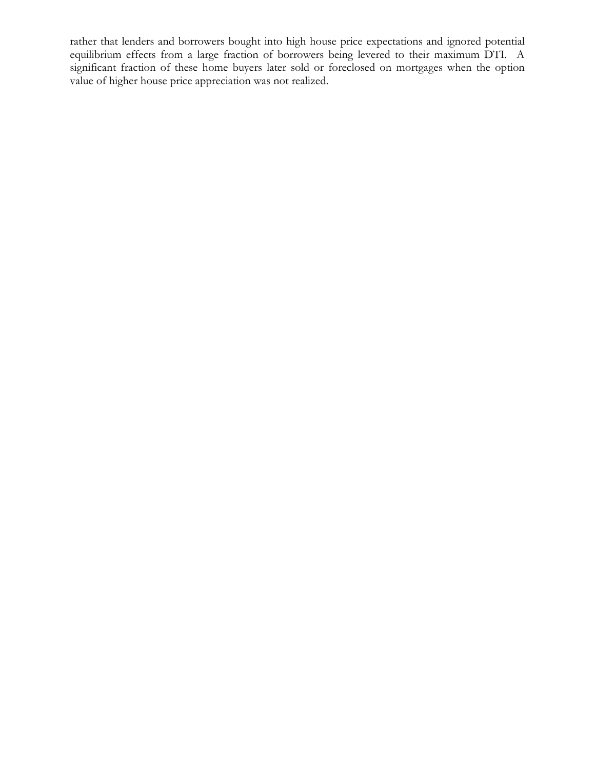rather that lenders and borrowers bought into high house price expectations and ignored potential equilibrium effects from a large fraction of borrowers being levered to their maximum DTI. A significant fraction of these home buyers later sold or foreclosed on mortgages when the option value of higher house price appreciation was not realized.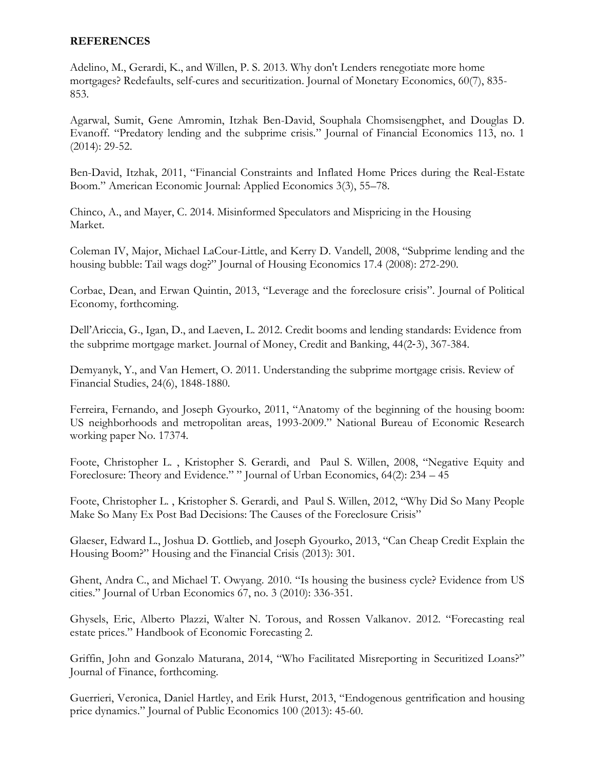## **REFERENCES**

Adelino, M., Gerardi, K., and Willen, P. S. 2013. Why don't Lenders renegotiate more home mortgages? Redefaults, self-cures and securitization. Journal of Monetary Economics, 60(7), 835- 853.

Agarwal, Sumit, Gene Amromin, Itzhak Ben-David, Souphala Chomsisengphet, and Douglas D. Evanoff. "Predatory lending and the subprime crisis." Journal of Financial Economics 113, no. 1 (2014): 29-52.

Ben-David, Itzhak, 2011, "Financial Constraints and Inflated Home Prices during the Real-Estate Boom." American Economic Journal: Applied Economics 3(3), 55–78.

Chinco, A., and Mayer, C. 2014. Misinformed Speculators and Mispricing in the Housing Market.

Coleman IV, Major, Michael LaCour-Little, and Kerry D. Vandell, 2008, "Subprime lending and the housing bubble: Tail wags dog?" Journal of Housing Economics 17.4 (2008): 272-290.

Corbae, Dean, and Erwan Quintin, 2013, "Leverage and the foreclosure crisis". Journal of Political Economy, forthcoming.

Dell'Ariccia, G., Igan, D., and Laeven, L. 2012. Credit booms and lending standards: Evidence from the subprime mortgage market. Journal of Money, Credit and Banking, 44(2‐3), 367-384.

Demyanyk, Y., and Van Hemert, O. 2011. Understanding the subprime mortgage crisis. Review of Financial Studies, 24(6), 1848-1880.

Ferreira, Fernando, and Joseph Gyourko, 2011, "Anatomy of the beginning of the housing boom: US neighborhoods and metropolitan areas, 1993-2009." National Bureau of Economic Research working paper No. 17374.

Foote, Christopher L. , Kristopher S. Gerardi, and Paul S. Willen, 2008, "Negative Equity and Foreclosure: Theory and Evidence." " Journal of Urban Economics, 64(2): 234 – 45

Foote, Christopher L. , Kristopher S. Gerardi, and Paul S. Willen, 2012, "Why Did So Many People Make So Many Ex Post Bad Decisions: The Causes of the Foreclosure Crisis"

Glaeser, Edward L., Joshua D. Gottlieb, and Joseph Gyourko, 2013, "Can Cheap Credit Explain the Housing Boom?" Housing and the Financial Crisis (2013): 301.

Ghent, Andra C., and Michael T. Owyang. 2010. "Is housing the business cycle? Evidence from US cities." Journal of Urban Economics 67, no. 3 (2010): 336-351.

Ghysels, Eric, Alberto Plazzi, Walter N. Torous, and Rossen Valkanov. 2012. "Forecasting real estate prices." Handbook of Economic Forecasting 2.

Griffin, John and Gonzalo Maturana, 2014, "Who Facilitated Misreporting in Securitized Loans?" Journal of Finance, forthcoming.

Guerrieri, Veronica, Daniel Hartley, and Erik Hurst, 2013, "Endogenous gentrification and housing price dynamics." Journal of Public Economics 100 (2013): 45-60.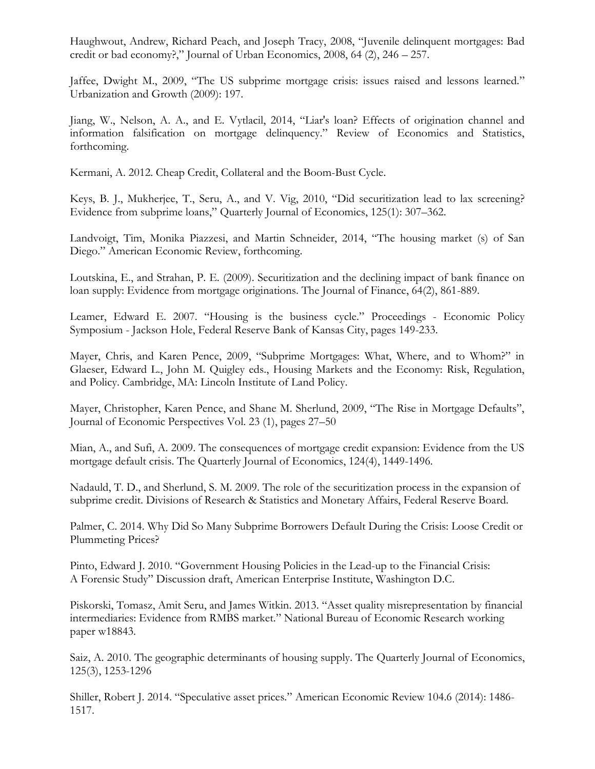Haughwout, Andrew, Richard Peach, and Joseph Tracy, 2008, "Juvenile delinquent mortgages: Bad credit or bad economy?," Journal of Urban Economics, 2008, 64 (2), 246 – 257.

Jaffee, Dwight M., 2009, "The US subprime mortgage crisis: issues raised and lessons learned." Urbanization and Growth (2009): 197.

Jiang, W., Nelson, A. A., and E. Vytlacil, 2014, "Liar's loan? Effects of origination channel and information falsification on mortgage delinquency." Review of Economics and Statistics, forthcoming.

Kermani, A. 2012. Cheap Credit, Collateral and the Boom-Bust Cycle.

Keys, B. J., Mukherjee, T., Seru, A., and V. Vig, 2010, "Did securitization lead to lax screening? Evidence from subprime loans," Quarterly Journal of Economics, 125(1): 307–362.

Landvoigt, Tim, Monika Piazzesi, and Martin Schneider, 2014, "The housing market (s) of San Diego." American Economic Review, forthcoming.

Loutskina, E., and Strahan, P. E. (2009). Securitization and the declining impact of bank finance on loan supply: Evidence from mortgage originations. The Journal of Finance, 64(2), 861-889.

Leamer, Edward E. 2007. "Housing is the business cycle." Proceedings - Economic Policy Symposium - Jackson Hole, Federal Reserve Bank of Kansas City, pages 149-233.

Mayer, Chris, and Karen Pence, 2009, "Subprime Mortgages: What, Where, and to Whom?" in Glaeser, Edward L., John M. Quigley eds., Housing Markets and the Economy: Risk, Regulation, and Policy. Cambridge, MA: Lincoln Institute of Land Policy.

Mayer, Christopher, Karen Pence, and Shane M. Sherlund, 2009, "The Rise in Mortgage Defaults", Journal of Economic Perspectives Vol. 23 (1), pages 27–50

Mian, A., and Sufi, A. 2009. The consequences of mortgage credit expansion: Evidence from the US mortgage default crisis. The Quarterly Journal of Economics, 124(4), 1449-1496.

Nadauld, T. D., and Sherlund, S. M. 2009. The role of the securitization process in the expansion of subprime credit. Divisions of Research & Statistics and Monetary Affairs, Federal Reserve Board.

Palmer, C. 2014. Why Did So Many Subprime Borrowers Default During the Crisis: Loose Credit or Plummeting Prices?

Pinto, Edward J. 2010. "Government Housing Policies in the Lead-up to the Financial Crisis: A Forensic Study" Discussion draft, American Enterprise Institute, Washington D.C.

Piskorski, Tomasz, Amit Seru, and James Witkin. 2013. "Asset quality misrepresentation by financial intermediaries: Evidence from RMBS market." National Bureau of Economic Research working paper w18843.

Saiz, A. 2010. The geographic determinants of housing supply. The Quarterly Journal of Economics, 125(3), 1253-1296

Shiller, Robert J. 2014. "Speculative asset prices." American Economic Review 104.6 (2014): 1486- 1517.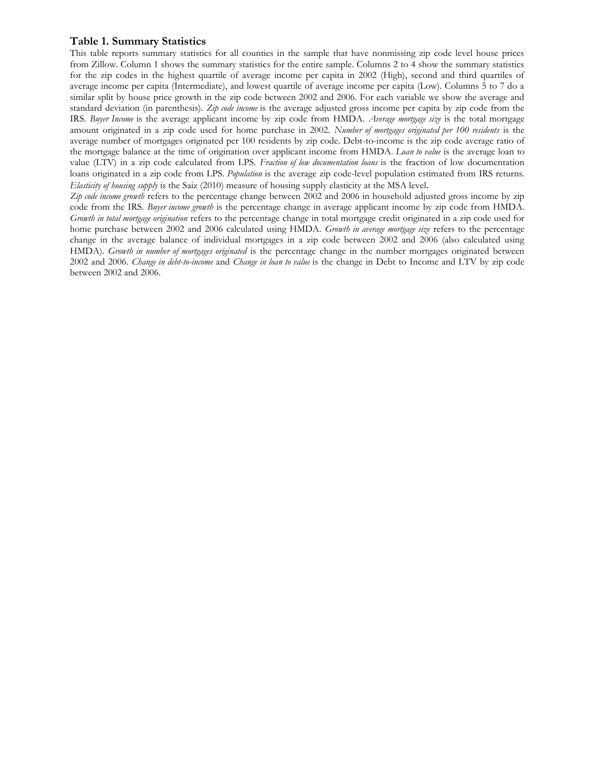#### **Table 1. Summary Statistics**

This table reports summary statistics for all counties in the sample that have nonmissing zip code level house prices from Zillow. Column 1 shows the summary statistics for the entire sample. Columns 2 to 4 show the summary statistics for the zip codes in the highest quartile of average income per capita in 2002 (High), second and third quartiles of average income per capita (Intermediate), and lowest quartile of average income per capita (Low). Columns 5 to 7 do a similar split by house price growth in the zip code between 2002 and 2006. For each variable we show the average and standard deviation (in parenthesis). *Zip code income* is the average adjusted gross income per capita by zip code from the IRS. *Buyer Income* is the average applicant income by zip code from HMDA. *Average mortgage size* is the total mortgage amount originated in a zip code used for home purchase in 2002. *Number of mortgages originated per 100 residents* is the average number of mortgages originated per 100 residents by zip code. Debt-to-income is the zip code average ratio of the mortgage balance at the time of origination over applicant income from HMDA*. Loan to value* is the average loan to value (LTV) in a zip code calculated from LPS. *Fraction of low documentation loans* is the fraction of low documentation loans originated in a zip code from LPS*. Population* is the average zip code-level population estimated from IRS returns. *Elasticity of housing supply* is the Saiz (2010) measure of housing supply elasticity at the MSA level.

*Zip code income growth* refers to the percentage change between 2002 and 2006 in household adjusted gross income by zip code from the IRS. *Buyer income growth* is the percentage change in average applicant income by zip code from HMDA. *Growth in total mortgage origination* refers to the percentage change in total mortgage credit originated in a zip code used for home purchase between 2002 and 2006 calculated using HMDA. *Growth in average mortgage size* refers to the percentage change in the average balance of individual mortgages in a zip code between 2002 and 2006 (also calculated using HMDA). *Growth in number of mortgages originated* is the percentage change in the number mortgages originated between 2002 and 2006. *Change in debt-to-income* and *Change in loan to value* is the change in Debt to Income and LTV by zip code between 2002 and 2006.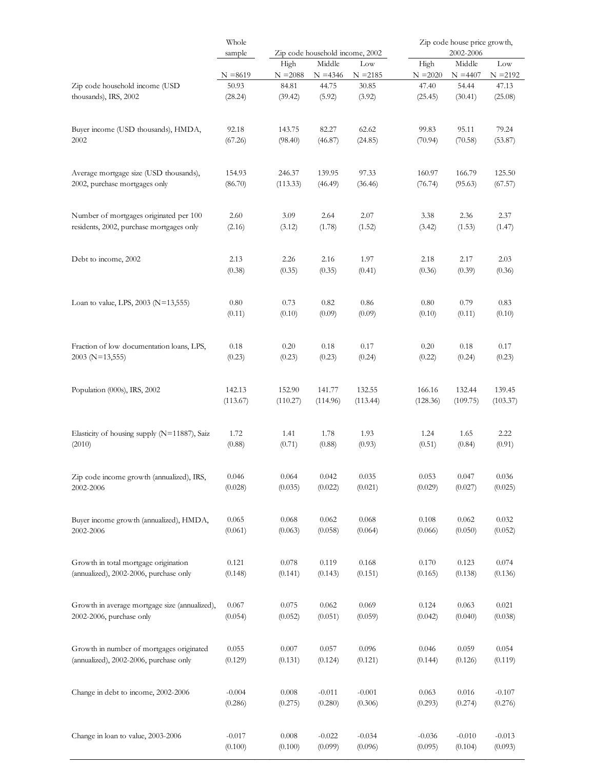|                                               | Whole      |            |                                 |            |            | Zip code house price growth, |            |
|-----------------------------------------------|------------|------------|---------------------------------|------------|------------|------------------------------|------------|
|                                               | sample     |            | Zip code household income, 2002 |            |            | 2002-2006                    |            |
|                                               |            | High       | Middle                          | Low        | High       | Middle                       | Low        |
|                                               | $N = 8619$ | $N = 2088$ | $N = 4346$                      | $N = 2185$ | $N = 2020$ | $N = 4407$                   | $N = 2192$ |
| Zip code household income (USD                | 50.93      | 84.81      | 44.75                           | 30.85      | 47.40      | 54.44                        | 47.13      |
| thousands), IRS, 2002                         | (28.24)    | (39.42)    | (5.92)                          | (3.92)     | (25.45)    | (30.41)                      | (25.08)    |
| Buyer income (USD thousands), HMDA,           | 92.18      | 143.75     | 82.27                           | 62.62      | 99.83      | 95.11                        | 79.24      |
| 2002                                          | (67.26)    | (98.40)    | (46.87)                         | (24.85)    | (70.94)    | (70.58)                      | (53.87)    |
| Average mortgage size (USD thousands),        | 154.93     | 246.37     | 139.95                          | 97.33      | 160.97     | 166.79                       | 125.50     |
| 2002, purchase mortgages only                 | (86.70)    | (113.33)   | (46.49)                         | (36.46)    | (76.74)    | (95.63)                      | (67.57)    |
| Number of mortgages originated per 100        | 2.60       | 3.09       | 2.64                            | 2.07       | 3.38       | 2.36                         | 2.37       |
| residents, 2002, purchase mortgages only      | (2.16)     | (3.12)     | (1.78)                          | (1.52)     | (3.42)     | (1.53)                       | (1.47)     |
| Debt to income, 2002                          | 2.13       | 2.26       | 2.16                            | 1.97       | 2.18       | 2.17                         | 2.03       |
|                                               | (0.38)     | (0.35)     | (0.35)                          | (0.41)     | (0.36)     | (0.39)                       | (0.36)     |
| Loan to value, LPS, 2003 (N=13,555)           | 0.80       | 0.73       | 0.82                            | 0.86       | 0.80       | 0.79                         | 0.83       |
|                                               | (0.11)     | (0.10)     | (0.09)                          | (0.09)     | (0.10)     | (0.11)                       | (0.10)     |
| Fraction of low documentation loans, LPS,     | 0.18       | 0.20       | 0.18                            | 0.17       | 0.20       | 0.18                         | 0.17       |
| $2003$ (N=13,555)                             | (0.23)     | (0.23)     | (0.23)                          | (0.24)     | (0.22)     | (0.24)                       | (0.23)     |
| Population (000s), IRS, 2002                  | 142.13     | 152.90     | 141.77                          | 132.55     | 166.16     | 132.44                       | 139.45     |
|                                               | (113.67)   | (110.27)   | (114.96)                        | (113.44)   | (128.36)   | (109.75)                     | (103.37)   |
| Elasticity of housing supply (N=11887), Saiz  | 1.72       | 1.41       | 1.78                            | 1.93       | 1.24       | 1.65                         | 2.22       |
| (2010)                                        | (0.88)     | (0.71)     | (0.88)                          | (0.93)     | (0.51)     | (0.84)                       | (0.91)     |
| Zip code income growth (annualized), IRS,     | 0.046      | 0.064      | 0.042                           | 0.035      | 0.053      | 0.047                        | 0.036      |
| 2002-2006                                     | (0.028)    | (0.035)    | (0.022)                         | (0.021)    | (0.029)    | (0.027)                      | (0.025)    |
| Buyer income growth (annualized), HMDA,       | 0.065      | 0.068      | 0.062                           | 0.068      | 0.108      | 0.062                        | 0.032      |
| 2002-2006                                     | (0.061)    | (0.063)    | (0.058)                         | (0.064)    | (0.066)    | (0.050)                      | (0.052)    |
| Growth in total mortgage origination          | 0.121      | 0.078      | 0.119                           | 0.168      | 0.170      | 0.123                        | 0.074      |
| (annualized), 2002-2006, purchase only        | (0.148)    | (0.141)    | (0.143)                         | (0.151)    | (0.165)    | (0.138)                      | (0.136)    |
| Growth in average mortgage size (annualized), | 0.067      | 0.075      | 0.062                           | 0.069      | 0.124      | 0.063                        | 0.021      |
| 2002-2006, purchase only                      | (0.054)    | (0.052)    | (0.051)                         | (0.059)    | (0.042)    | (0.040)                      | (0.038)    |
| Growth in number of mortgages originated      | 0.055      | 0.007      | 0.057                           | 0.096      | 0.046      | 0.059                        | 0.054      |
| (annualized), 2002-2006, purchase only        | (0.129)    | (0.131)    | (0.124)                         | (0.121)    | (0.144)    | (0.126)                      | (0.119)    |
| Change in debt to income, 2002-2006           | $-0.004$   | 0.008      | $-0.011$                        | $-0.001$   | 0.063      | 0.016                        | $-0.107$   |
|                                               | (0.286)    | (0.275)    | (0.280)                         | (0.306)    | (0.293)    | (0.274)                      | (0.276)    |
| Change in loan to value, 2003-2006            | $-0.017$   | $0.008\,$  | $-0.022$                        | $-0.034$   | $-0.036$   | $-0.010$                     | $-0.013$   |
|                                               | (0.100)    | (0.100)    | (0.099)                         | (0.096)    | (0.095)    | (0.104)                      | (0.093)    |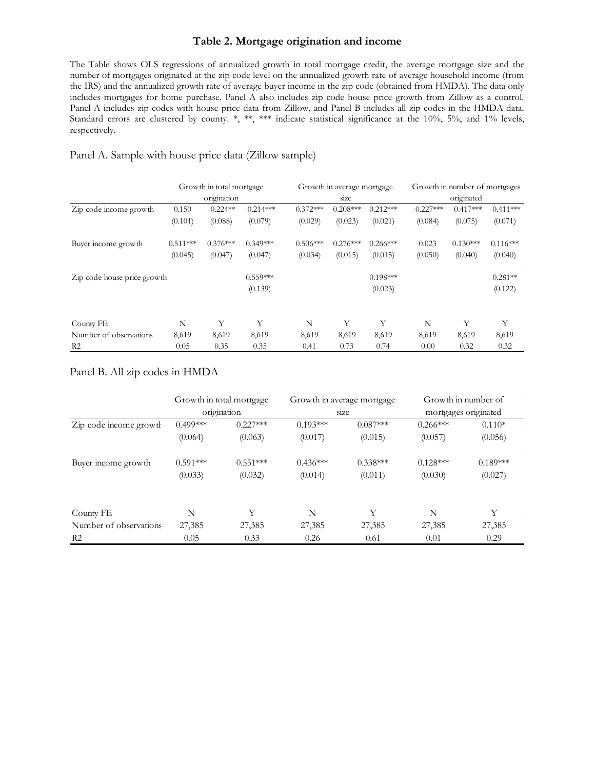#### **Table 2. Mortgage origination and income**

The Table shows OLS regressions of annualized growth in total mortgage credit, the average mortgage size and the number of mortgages originated at the zip code level on the annualized growth rate of average household income (from the IRS) and the annualized growth rate of average buyer income in the zip code (obtained from HMDA). The data only includes mortgages for home purchase. Panel A also includes zip code house price growth from Zillow as a control. Panel A includes zip codes with house price data from Zillow, and Panel B includes all zip codes in the HMDA data. Standard errors are clustered by county. \*, \*\*, \*\*\* indicate statistical significance at the 10%, 5%, and 1% levels, respectively.

# Panel A. Sample with house price data (Zillow sample)

|                             | Growth in total mortgage |            |             | Growth in average mortgage |            |            | Growth in number of mortgages |             |             |
|-----------------------------|--------------------------|------------|-------------|----------------------------|------------|------------|-------------------------------|-------------|-------------|
|                             | origination              |            |             |                            | size       |            | originated                    |             |             |
| Zip code income growth      | 0.150                    | $-0.224**$ | $-0.214***$ | $0.372***$                 | $0.208***$ | $0.212***$ | $-0.227***$                   | $-0.417***$ | $-0.411***$ |
|                             | (0.101)                  | (0.088)    | (0.079)     | (0.029)                    | (0.023)    | (0.021)    | (0.084)                       | (0.075)     | (0.071)     |
| Buyer income growth         | $0.511***$               | $0.376***$ | $0.349***$  | $0.506***$                 | $0.276***$ | $0.266***$ | 0.023                         | $0.130***$  | $0.116***$  |
|                             | (0.045)                  | (0.047)    | (0.047)     | (0.034)                    | (0.015)    | (0.015)    | (0.050)                       | (0.040)     | (0.040)     |
| Zip code house price growth |                          |            | $0.559***$  |                            |            | $0.198***$ |                               |             | $0.281**$   |
|                             |                          |            | (0.139)     |                            |            | (0.023)    |                               |             | (0.122)     |
| County FE                   | N                        | Y          | Y           | N                          | Y          | Y          | N                             | Y           | Y           |
| Number of observations      | 8,619                    | 8,619      | 8,619       | 8,619                      | 8,619      | 8,619      | 8,619                         | 8,619       | 8,619       |
| R <sub>2</sub>              | 0.05                     | 0.35       | 0.35        | 0.41                       | 0.73       | 0.74       | 0.00                          | 0.32        | 0.32        |

### Panel B. All zip codes in HMDA

|                        |            | Growth in total mortgage |            | Growth in average mortgage | Growth in number of |                      |  |
|------------------------|------------|--------------------------|------------|----------------------------|---------------------|----------------------|--|
|                        |            | origination              |            | size                       |                     | mortgages originated |  |
| Zip code income growth | $0.499***$ | $0.227***$               | $0.193***$ | $0.087***$                 | $0.266***$          | $0.110*$             |  |
|                        | (0.064)    | (0.063)                  | (0.017)    | (0.015)                    | (0.057)             | (0.056)              |  |
| Buyer income growth    | $0.591***$ | $0.551***$               | $0.436***$ | $0.338***$                 | $0.128***$          | $0.189***$           |  |
|                        | (0.033)    | (0.032)                  | (0.014)    | (0.011)                    | (0.030)             | (0.027)              |  |
| County FE              | N          | Y                        | N          | Y                          | N                   | Y                    |  |
| Number of observations | 27,385     | 27,385                   | 27,385     | 27,385                     | 27,385              | 27,385               |  |
| R <sub>2</sub>         | 0.05       | 0.33                     | 0.26       | 0.61                       | 0.01                | 0.29                 |  |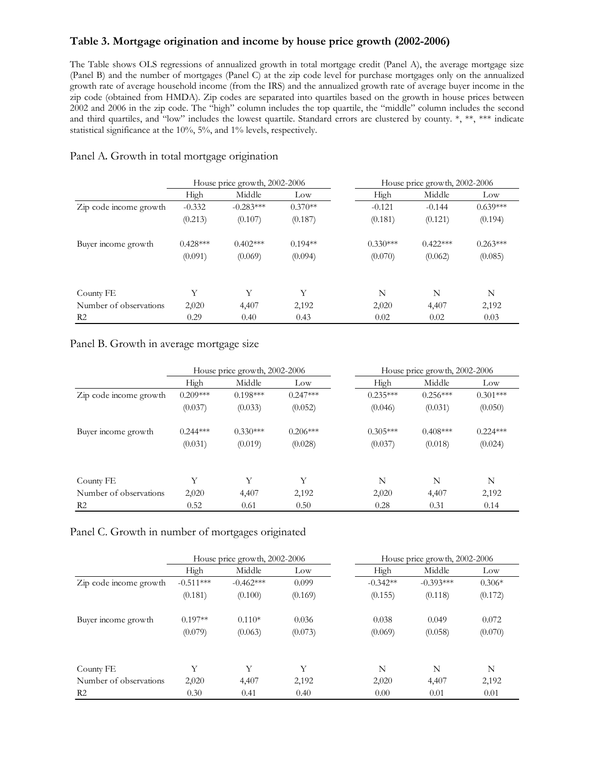### **Table 3. Mortgage origination and income by house price growth (2002-2006)**

The Table shows OLS regressions of annualized growth in total mortgage credit (Panel A), the average mortgage size (Panel B) and the number of mortgages (Panel C) at the zip code level for purchase mortgages only on the annualized growth rate of average household income (from the IRS) and the annualized growth rate of average buyer income in the zip code (obtained from HMDA). Zip codes are separated into quartiles based on the growth in house prices between 2002 and 2006 in the zip code. The "high" column includes the top quartile, the "middle" column includes the second and third quartiles, and "low" includes the lowest quartile. Standard errors are clustered by county. \*, \*\*, \*\*\* indicate statistical significance at the 10%, 5%, and 1% levels, respectively.

|                        | House price growth, 2002-2006 |             |           | House price growth, 2002-2006 |            |            |
|------------------------|-------------------------------|-------------|-----------|-------------------------------|------------|------------|
|                        | High                          | Middle      | Low       | High                          | Middle     | Low        |
| Zip code income growth | $-0.332$                      | $-0.283***$ | $0.370**$ | $-0.121$                      | $-0.144$   | $0.639***$ |
|                        | (0.213)                       | (0.107)     | (0.187)   | (0.181)                       | (0.121)    | (0.194)    |
| Buyer income growth    | $0.428***$                    | $0.402***$  | $0.194**$ | $0.330***$                    | $0.422***$ | $0.263***$ |
|                        | (0.091)                       | (0.069)     | (0.094)   | (0.070)                       | (0.062)    | (0.085)    |
| County FE              | Υ                             | Y           | Y         | N                             | N          | N          |
| Number of observations | 2,020                         | 4,407       | 2,192     | 2,020                         | 4,407      | 2,192      |
| R <sub>2</sub>         | 0.29                          | 0.40        | 0.43      | 0.02                          | 0.02       | 0.03       |

#### Panel A. Growth in total mortgage origination

Panel B. Growth in average mortgage size

|                        | House price growth, 2002-2006 |            |            | House price growth, 2002-2006 |            |            |
|------------------------|-------------------------------|------------|------------|-------------------------------|------------|------------|
|                        | High                          | Middle     | Low        | High                          | Middle     | Low        |
| Zip code income growth | $0.209***$                    | $0.198***$ | $0.247***$ | $0.235***$                    | $0.256***$ | $0.301***$ |
|                        | (0.037)                       | (0.033)    | (0.052)    | (0.046)                       | (0.031)    | (0.050)    |
| Buyer income growth    | $0.244***$                    | $0.330***$ | $0.206***$ | $0.305***$                    | $0.408***$ | $0.224***$ |
|                        | (0.031)                       | (0.019)    | (0.028)    | (0.037)                       | (0.018)    | (0.024)    |
| County FE              | Y                             | Y          | Y          | N                             | N          | N          |
| Number of observations | 2,020                         | 4,407      | 2,192      | 2,020                         | 4,407      | 2,192      |
| R <sub>2</sub>         | 0.52                          | 0.61       | 0.50       | 0.28                          | 0.31       | 0.14       |

Panel C. Growth in number of mortgages originated

|                        | House price growth, 2002-2006 |             |         | House price growth, 2002-2006 |             |          |
|------------------------|-------------------------------|-------------|---------|-------------------------------|-------------|----------|
|                        | High                          | Middle      | Low     | High                          | Middle      | Low      |
| Zip code income growth | $-0.511***$                   | $-0.462***$ | 0.099   | $-0.342**$                    | $-0.393***$ | $0.306*$ |
|                        | (0.181)                       | (0.100)     | (0.169) | (0.155)                       | (0.118)     | (0.172)  |
| Buyer income growth    | $0.197**$                     | $0.110*$    | 0.036   | 0.038                         | 0.049       | 0.072    |
|                        | (0.079)                       | (0.063)     | (0.073) | (0.069)                       | (0.058)     | (0.070)  |
| County FE              | Y                             | Y           | Y       | N                             | N           | N        |
| Number of observations | 2,020                         | 4,407       | 2,192   | 2,020                         | 4,407       | 2,192    |
| R <sub>2</sub>         | 0.30                          | 0.41        | 0.40    | 0.00                          | 0.01        | 0.01     |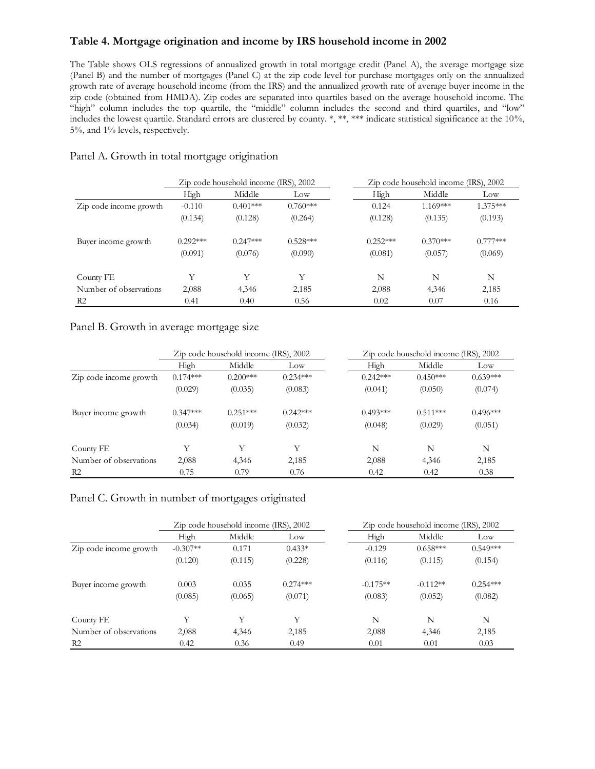### **Table 4. Mortgage origination and income by IRS household income in 2002**

The Table shows OLS regressions of annualized growth in total mortgage credit (Panel A), the average mortgage size (Panel B) and the number of mortgages (Panel C) at the zip code level for purchase mortgages only on the annualized growth rate of average household income (from the IRS) and the annualized growth rate of average buyer income in the zip code (obtained from HMDA). Zip codes are separated into quartiles based on the average household income. The "high" column includes the top quartile, the "middle" column includes the second and third quartiles, and "low" includes the lowest quartile. Standard errors are clustered by county. \*, \*\*, \*\*\* indicate statistical significance at the 10%, 5%, and 1% levels, respectively.

|                        |            | Zip code household income (IRS), 2002 |            | Zip code household income (IRS), 2002 |            |            |
|------------------------|------------|---------------------------------------|------------|---------------------------------------|------------|------------|
|                        | High       | Middle                                | Low        | High                                  | Middle     | Low        |
| Zip code income growth | $-0.110$   | $0.401***$                            | $0.760***$ | 0.124                                 | $1.169***$ | 1.375***   |
|                        | (0.134)    | (0.128)                               | (0.264)    | (0.128)                               | (0.135)    | (0.193)    |
| Buyer income growth    | $0.292***$ | $0.247***$                            | $0.528***$ | $0.252***$                            | $0.370***$ | $0.777***$ |
|                        | (0.091)    | (0.076)                               | (0.090)    | (0.081)                               | (0.057)    | (0.069)    |
| County FE              | Y          | Y                                     | Y          | N                                     | N          | N          |
| Number of observations | 2,088      | 4,346                                 | 2,185      | 2,088                                 | 4,346      | 2,185      |
| R <sub>2</sub>         | 0.41       | 0.40                                  | 0.56       | 0.02                                  | 0.07       | 0.16       |

### Panel A. Growth in total mortgage origination

#### Panel B. Growth in average mortgage size

|                        |            | Zip code household income (IRS), 2002 |            |            | Zip code household income (IRS), 2002 |            |  |
|------------------------|------------|---------------------------------------|------------|------------|---------------------------------------|------------|--|
|                        | High       | Middle                                | Low        | High       | Middle                                | Low        |  |
| Zip code income growth | $0.174***$ | $0.200***$                            | $0.234***$ | $0.242***$ | $0.450***$                            | $0.639***$ |  |
|                        | (0.029)    | (0.035)                               | (0.083)    | (0.041)    | (0.050)                               | (0.074)    |  |
| Buyer income growth    | $0.347***$ | $0.251***$                            | $0.242***$ | $0.493***$ | $0.511***$                            | $0.496***$ |  |
|                        | (0.034)    | (0.019)                               | (0.032)    | (0.048)    | (0.029)                               | (0.051)    |  |
| County FE              | Y          | Y                                     | Y          | N          | N                                     | N          |  |
| Number of observations | 2,088      | 4,346                                 | 2,185      | 2,088      | 4,346                                 | 2,185      |  |
| R <sub>2</sub>         | 0.75       | 0.79                                  | 0.76       | 0.42       | 0.42                                  | 0.38       |  |

### Panel C. Growth in number of mortgages originated

|                        | Zip code household income (IRS), 2002 |         |            | Zip code household income (IRS), 2002 |            |            |
|------------------------|---------------------------------------|---------|------------|---------------------------------------|------------|------------|
|                        | High                                  | Middle  | Low        | High                                  | Middle     | Low        |
| Zip code income growth | $-0.307**$                            | 0.171   | $0.433*$   | $-0.129$                              | $0.658***$ | $0.549***$ |
|                        | (0.120)                               | (0.115) | (0.228)    | (0.116)                               | (0.115)    | (0.154)    |
| Buyer income growth    | 0.003                                 | 0.035   | $0.274***$ | $-0.175**$                            | $-0.112**$ | $0.254***$ |
|                        | (0.085)                               | (0.065) | (0.071)    | (0.083)                               | (0.052)    | (0.082)    |
| County FE              | Y                                     | Y       | Y          | N                                     | N          | N          |
| Number of observations | 2,088                                 | 4,346   | 2,185      | 2,088                                 | 4,346      | 2,185      |
| R <sub>2</sub>         | 0.42                                  | 0.36    | 0.49       | 0.01                                  | 0.01       | 0.03       |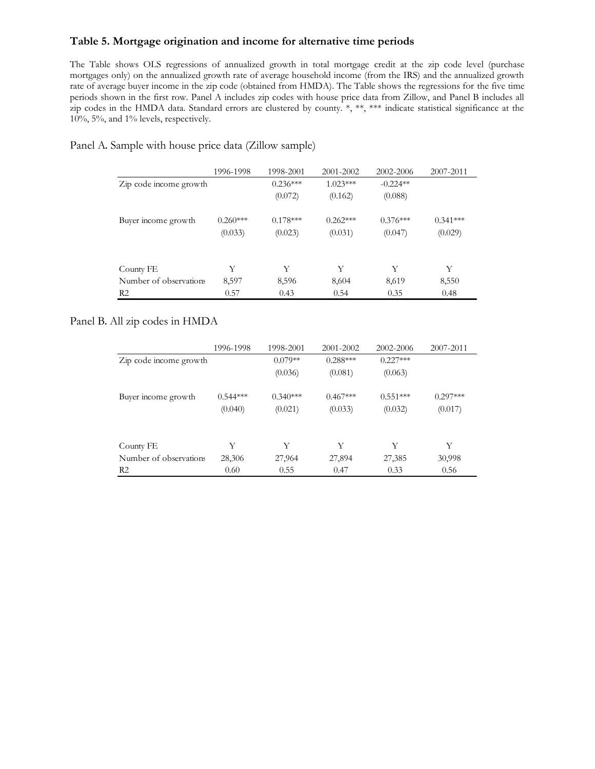### **Table 5. Mortgage origination and income for alternative time periods**

The Table shows OLS regressions of annualized growth in total mortgage credit at the zip code level (purchase mortgages only) on the annualized growth rate of average household income (from the IRS) and the annualized growth rate of average buyer income in the zip code (obtained from HMDA). The Table shows the regressions for the five time periods shown in the first row. Panel A includes zip codes with house price data from Zillow, and Panel B includes all zip codes in the HMDA data. Standard errors are clustered by county. \*, \*\*, \*\*\* indicate statistical significance at the 10%, 5%, and 1% levels, respectively.

|                        | 1996-1998  | 1998-2001  | 2001-2002  | 2002-2006  | 2007-2011  |
|------------------------|------------|------------|------------|------------|------------|
| Zip code income growth |            | $0.236***$ | $1.023***$ | $-0.224**$ |            |
|                        |            | (0.072)    | (0.162)    | (0.088)    |            |
| Buyer income growth    | $0.260***$ | $0.178***$ | $0.262***$ | $0.376***$ | $0.341***$ |
|                        | (0.033)    | (0.023)    | (0.031)    | (0.047)    | (0.029)    |
| County FE              | Y          | Y          | Y          | Y          | Y          |
| Number of observations | 8,597      | 8,596      | 8,604      | 8,619      | 8,550      |
| R <sub>2</sub>         | 0.57       | 0.43       | 0.54       | 0.35       | 0.48       |

Panel A. Sample with house price data (Zillow sample)

### Panel B. All zip codes in HMDA

|                        | 1996-1998  | 1998-2001  | 2001-2002  | 2002-2006  | 2007-2011  |
|------------------------|------------|------------|------------|------------|------------|
| Zip code income growth |            | $0.079**$  | $0.288***$ | $0.227***$ |            |
|                        |            | (0.036)    | (0.081)    | (0.063)    |            |
| Buyer income growth    | $0.544***$ | $0.340***$ | $0.467***$ | $0.551***$ | $0.297***$ |
|                        | (0.040)    | (0.021)    | (0.033)    | (0.032)    | (0.017)    |
| County FE              | Y          | Y          | Y          | Y          | Y          |
| Number of observations | 28,306     | 27,964     | 27,894     | 27,385     | 30,998     |
| R <sub>2</sub>         | 0.60       | 0.55       | 0.47       | 0.33       | 0.56       |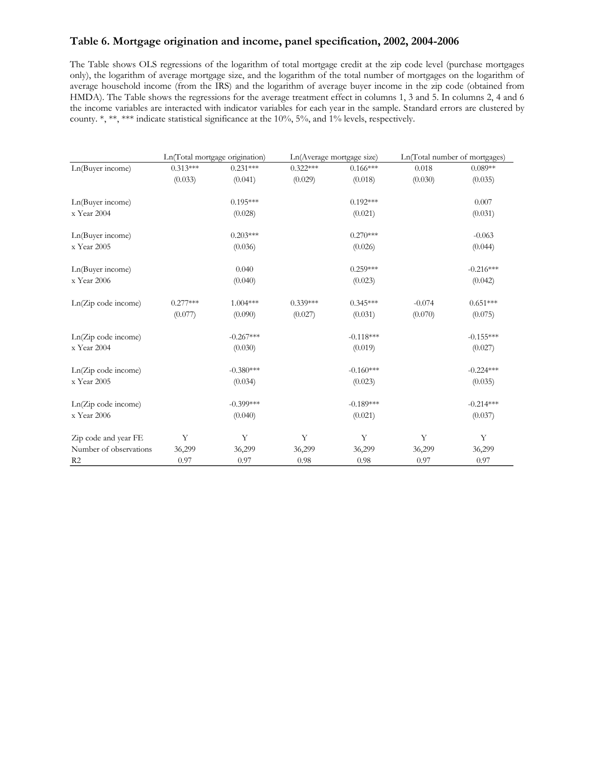### **Table 6. Mortgage origination and income, panel specification, 2002, 2004-2006**

The Table shows OLS regressions of the logarithm of total mortgage credit at the zip code level (purchase mortgages only), the logarithm of average mortgage size, and the logarithm of the total number of mortgages on the logarithm of average household income (from the IRS) and the logarithm of average buyer income in the zip code (obtained from HMDA). The Table shows the regressions for the average treatment effect in columns 1, 3 and 5. In columns 2, 4 and 6 the income variables are interacted with indicator variables for each year in the sample. Standard errors are clustered by county. \*, \*\*, \*\*\* indicate statistical significance at the 10%, 5%, and 1% levels, respectively.

| county. ", "", "" indicate statistical significance at the 10%, 5%, and 1% levels, respectively. |                                |             |            |                           |          |                               |
|--------------------------------------------------------------------------------------------------|--------------------------------|-------------|------------|---------------------------|----------|-------------------------------|
|                                                                                                  |                                |             |            |                           |          |                               |
|                                                                                                  | Ln(Total mortgage origination) |             |            | Ln(Average mortgage size) |          | Ln(Total number of mortgages) |
| Ln(Buyer income)                                                                                 | $0.313***$                     | $0.231***$  | $0.322***$ | $0.166***$                | 0.018    | $0.089**$                     |
|                                                                                                  | (0.033)                        | (0.041)     | (0.029)    | (0.018)                   | (0.030)  | (0.035)                       |
| Ln(Buyer income)                                                                                 |                                | $0.195***$  |            | $0.192***$                |          | 0.007                         |
| x Year 2004                                                                                      |                                | (0.028)     |            | (0.021)                   |          | (0.031)                       |
| Ln(Buyer income)                                                                                 |                                | $0.203***$  |            | $0.270***$                |          | $-0.063$                      |
| x Year 2005                                                                                      |                                | (0.036)     |            | (0.026)                   |          | (0.044)                       |
| Ln(Buyer income)                                                                                 |                                | 0.040       |            | $0.259***$                |          | $-0.216***$                   |
| x Year 2006                                                                                      |                                | (0.040)     |            | (0.023)                   |          | (0.042)                       |
| Ln(Zip code income)                                                                              | $0.277***$                     | $1.004***$  | $0.339***$ | $0.345***$                | $-0.074$ | $0.651***$                    |
|                                                                                                  | (0.077)                        | (0.090)     | (0.027)    | (0.031)                   | (0.070)  | (0.075)                       |
| $Ln(Zip \text{ code income})$                                                                    |                                | $-0.267***$ |            | $-0.118***$               |          | $-0.155***$                   |
| x Year 2004                                                                                      |                                | (0.030)     |            | (0.019)                   |          | (0.027)                       |
| Ln(Zip code income)                                                                              |                                | $-0.380***$ |            | $-0.160***$               |          | $-0.224***$                   |
| x Year 2005                                                                                      |                                | (0.034)     |            | (0.023)                   |          | (0.035)                       |
| $Ln(Zip \text{ code income})$                                                                    |                                | $-0.399***$ |            | $-0.189***$               |          | $-0.214***$                   |
| x Year 2006                                                                                      |                                | (0.040)     |            | (0.021)                   |          | (0.037)                       |
| Zip code and year FE                                                                             | Y                              | Y           | Y          | Y                         | Y        | Y                             |
| Number of observations                                                                           | 36,299                         | 36,299      | 36,299     | 36,299                    | 36,299   | 36,299                        |
| R <sub>2</sub>                                                                                   | 0.97                           | 0.97        | 0.98       | 0.98                      | 0.97     | 0.97                          |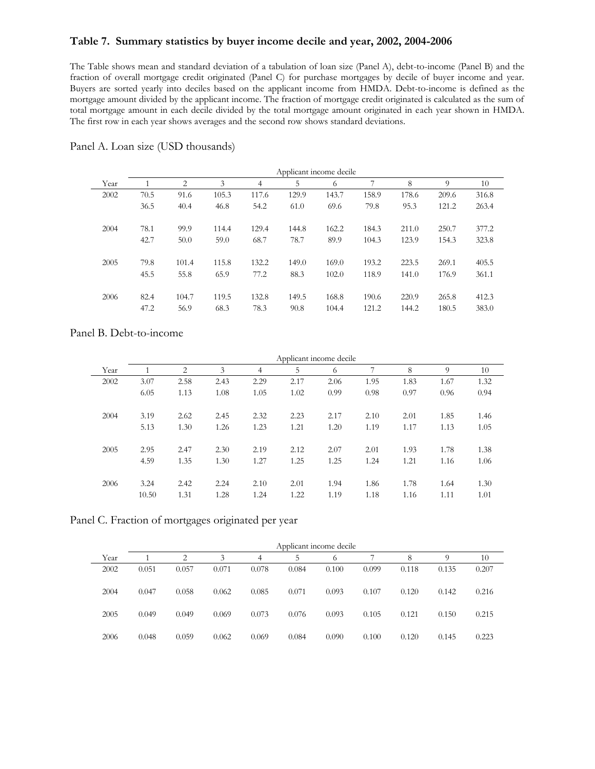#### **Table 7. Summary statistics by buyer income decile and year, 2002, 2004-2006**

The Table shows mean and standard deviation of a tabulation of loan size (Panel A), debt-to-income (Panel B) and the fraction of overall mortgage credit originated (Panel C) for purchase mortgages by decile of buyer income and year. Buyers are sorted yearly into deciles based on the applicant income from HMDA. Debt-to-income is defined as the mortgage amount divided by the applicant income. The fraction of mortgage credit originated is calculated as the sum of total mortgage amount in each decile divided by the total mortgage amount originated in each year shown in HMDA. The first row in each year shows averages and the second row shows standard deviations.

|      |      |       |       |                | Applicant income decile |       |       |       |       |       |
|------|------|-------|-------|----------------|-------------------------|-------|-------|-------|-------|-------|
| Year |      | 2     | 3     | $\overline{4}$ | 5                       | 6     | 7     | 8     | 9     | 10    |
| 2002 | 70.5 | 91.6  | 105.3 | 117.6          | 129.9                   | 143.7 | 158.9 | 178.6 | 209.6 | 316.8 |
|      | 36.5 | 40.4  | 46.8  | 54.2           | 61.0                    | 69.6  | 79.8  | 95.3  | 121.2 | 263.4 |
| 2004 | 78.1 | 99.9  | 114.4 | 129.4          | 144.8                   | 162.2 | 184.3 | 211.0 | 250.7 | 377.2 |
|      | 42.7 | 50.0  | 59.0  | 68.7           | 78.7                    | 89.9  | 104.3 | 123.9 | 154.3 | 323.8 |
| 2005 | 79.8 | 101.4 | 115.8 | 132.2          | 149.0                   | 169.0 | 193.2 | 223.5 | 269.1 | 405.5 |
|      | 45.5 | 55.8  | 65.9  | 77.2           | 88.3                    | 102.0 | 118.9 | 141.0 | 176.9 | 361.1 |
| 2006 | 82.4 | 104.7 | 119.5 | 132.8          | 149.5                   | 168.8 | 190.6 | 220.9 | 265.8 | 412.3 |
|      | 47.2 | 56.9  | 68.3  | 78.3           | 90.8                    | 104.4 | 121.2 | 144.2 | 180.5 | 383.0 |

Panel A. Loan size (USD thousands)

### Panel B. Debt-to-income

|      |       |      |      |      |      | Applicant income decile |      |      |      |      |
|------|-------|------|------|------|------|-------------------------|------|------|------|------|
| Year |       | 2    | 3    | 4    | 5    | 6                       | 7    | 8    | 9    | 10   |
| 2002 | 3.07  | 2.58 | 2.43 | 2.29 | 2.17 | 2.06                    | 1.95 | 1.83 | 1.67 | 1.32 |
|      | 6.05  | 1.13 | 1.08 | 1.05 | 1.02 | 0.99                    | 0.98 | 0.97 | 0.96 | 0.94 |
| 2004 | 3.19  | 2.62 | 2.45 | 2.32 | 2.23 | 2.17                    | 2.10 | 2.01 | 1.85 | 1.46 |
|      | 5.13  | 1.30 | 1.26 | 1.23 | 1.21 | 1.20                    | 1.19 | 1.17 | 1.13 | 1.05 |
| 2005 | 2.95  | 2.47 | 2.30 | 2.19 | 2.12 | 2.07                    | 2.01 | 1.93 | 1.78 | 1.38 |
|      | 4.59  | 1.35 | 1.30 | 1.27 | 1.25 | 1.25                    | 1.24 | 1.21 | 1.16 | 1.06 |
| 2006 | 3.24  | 2.42 | 2.24 | 2.10 | 2.01 | 1.94                    | 1.86 | 1.78 | 1.64 | 1.30 |
|      | 10.50 | 1.31 | 1.28 | 1.24 | 1.22 | 1.19                    | 1.18 | 1.16 | 1.11 | 1.01 |

Panel C. Fraction of mortgages originated per year

|      |       |       |       |       | Applicant income decile |       |       |       |       |       |
|------|-------|-------|-------|-------|-------------------------|-------|-------|-------|-------|-------|
| Year |       | 2     | 3     | 4     | 5                       | 6     |       | 8     | 9     | 10    |
| 2002 | 0.051 | 0.057 | 0.071 | 0.078 | 0.084                   | 0.100 | 0.099 | 0.118 | 0.135 | 0.207 |
| 2004 | 0.047 | 0.058 | 0.062 | 0.085 | 0.071                   | 0.093 | 0.107 | 0.120 | 0.142 | 0.216 |
| 2005 | 0.049 | 0.049 | 0.069 | 0.073 | 0.076                   | 0.093 | 0.105 | 0.121 | 0.150 | 0.215 |
| 2006 | 0.048 | 0.059 | 0.062 | 0.069 | 0.084                   | 0.090 | 0.100 | 0.120 | 0.145 | 0.223 |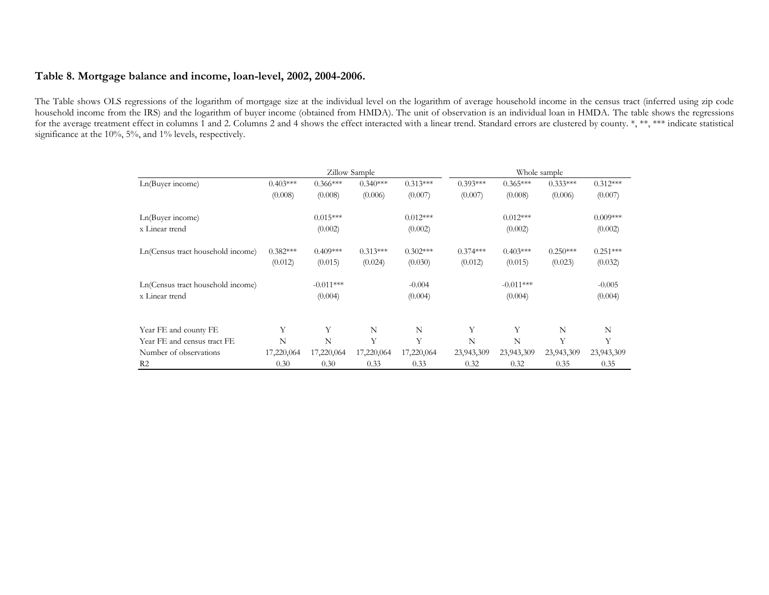### **Table 8. Mortgage balance and income, loan-level, 2002, 2004-2006.**

The Table shows OLS regressions of the logarithm of mortgage size at the individual level on the logarithm of average household income in the census tract (inferred using zip code household income from the IRS) and the logarithm of buyer income (obtained from HMDA). The unit of observation is an individual loan in HMDA. The table shows the regressions for the average treatment effect in columns 1 and 2. Columns 2 and 4 shows the effect interacted with a linear trend. Standard errors are clustered by county. \*, \*\*, \*\*\* indicate statistical significance at the 10%, 5%, and 1% levels, respectively.

|                                   |            |             | Zillow Sample |            | Whole sample |             |            |            |  |  |
|-----------------------------------|------------|-------------|---------------|------------|--------------|-------------|------------|------------|--|--|
| Ln(Buyer income)                  | $0.403***$ | $0.366***$  | $0.340***$    | $0.313***$ | $0.393***$   | $0.365***$  | $0.333***$ | $0.312***$ |  |  |
|                                   | (0.008)    | (0.008)     | (0.006)       | (0.007)    | (0.007)      | (0.008)     | (0.006)    | (0.007)    |  |  |
| Ln(Buyer income)                  |            | $0.015***$  |               | $0.012***$ |              | $0.012***$  |            | $0.009***$ |  |  |
| x Linear trend                    |            | (0.002)     |               | (0.002)    |              | (0.002)     |            | (0.002)    |  |  |
| Ln(Census tract household income) | $0.382***$ | $0.409***$  | $0.313***$    | $0.302***$ | $0.374***$   | $0.403***$  | $0.250***$ | $0.251***$ |  |  |
|                                   | (0.012)    | (0.015)     | (0.024)       | (0.030)    | (0.012)      | (0.015)     | (0.023)    | (0.032)    |  |  |
| Ln(Census tract household income) |            | $-0.011***$ |               | $-0.004$   |              | $-0.011***$ |            | $-0.005$   |  |  |
| x Linear trend                    |            | (0.004)     |               | (0.004)    |              | (0.004)     |            | (0.004)    |  |  |
| Year FE and county FE             | Υ          | Y           | N             | N          | Y            | Y           | N          | N          |  |  |
| Year FE and census tract FE       | N          | N           | Y             | Y          | N            | N           | Y          | Y          |  |  |
| Number of observations            | 17,220,064 | 17,220,064  | 17,220,064    | 17,220,064 | 23,943,309   | 23,943,309  | 23,943,309 | 23,943,309 |  |  |
| R <sub>2</sub>                    | 0.30       | 0.30        | 0.33          | 0.33       | 0.32         | 0.32        | 0.35       | 0.35       |  |  |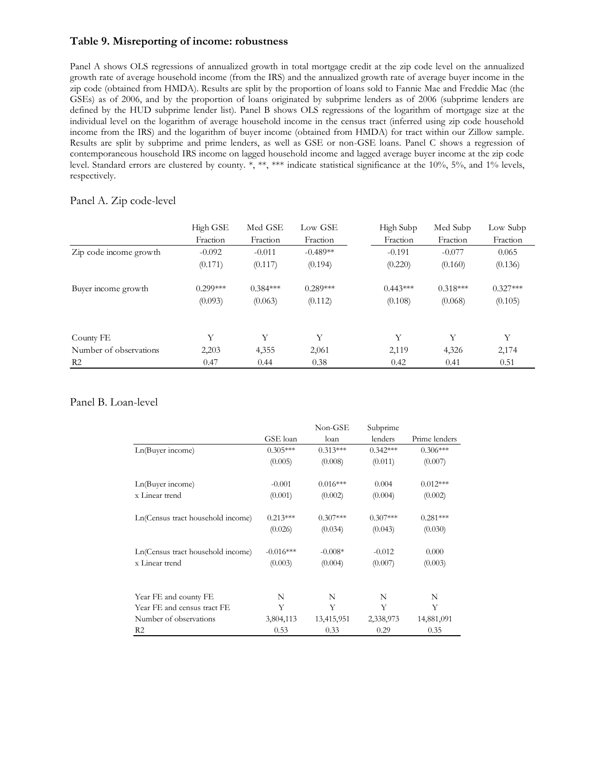### **Table 9. Misreporting of income: robustness**

Panel A shows OLS regressions of annualized growth in total mortgage credit at the zip code level on the annualized growth rate of average household income (from the IRS) and the annualized growth rate of average buyer income in the zip code (obtained from HMDA). Results are split by the proportion of loans sold to Fannie Mae and Freddie Mac (the GSEs) as of 2006, and by the proportion of loans originated by subprime lenders as of 2006 (subprime lenders are defined by the HUD subprime lender list). Panel B shows OLS regressions of the logarithm of mortgage size at the individual level on the logarithm of average household income in the census tract (inferred using zip code household income from the IRS) and the logarithm of buyer income (obtained from HMDA) for tract within our Zillow sample. Results are split by subprime and prime lenders, as well as GSE or non-GSE loans. Panel C shows a regression of contemporaneous household IRS income on lagged household income and lagged average buyer income at the zip code level. Standard errors are clustered by county. \*, \*\*, \*\*\* indicate statistical significance at the 10%, 5%, and 1% levels, respectively.

#### Panel A. Zip code-level

|                        | High GSE   | Med GSE    | Low GSE    | High Subp  | Med Subp   | Low Subp   |
|------------------------|------------|------------|------------|------------|------------|------------|
|                        | Fraction   | Fraction   | Fraction   | Fraction   | Fraction   | Fraction   |
| Zip code income growth | $-0.092$   | $-0.011$   | $-0.489**$ | $-0.191$   | $-0.077$   | 0.065      |
|                        | (0.171)    | (0.117)    | (0.194)    | (0.220)    | (0.160)    | (0.136)    |
| Buyer income growth    | $0.299***$ | $0.384***$ | $0.289***$ | $0.443***$ | $0.318***$ | $0.327***$ |
|                        | (0.093)    | (0.063)    | (0.112)    | (0.108)    | (0.068)    | (0.105)    |
| County FE              | Y          | Y          | Y          | Y          | Y          | Y          |
| Number of observations | 2,203      | 4,355      | 2,061      | 2,119      | 4,326      | 2,174      |
| R <sub>2</sub>         | 0.47       | 0.44       | 0.38       | 0.42       | 0.41       | 0.51       |

#### Panel B. Loan-level

|                                   | GSE loan    | Non-GSE<br>loan | Subprime<br>lenders | Prime lenders |
|-----------------------------------|-------------|-----------------|---------------------|---------------|
| Ln(Buyer income)                  | $0.305***$  | $0.313***$      | $0.342***$          | $0.306***$    |
|                                   | (0.005)     | (0.008)         | (0.011)             | (0.007)       |
| Ln(Buyer income)                  | $-0.001$    | $0.016***$      | 0.004               | $0.012***$    |
| x Linear trend                    | (0.001)     | (0.002)         | (0.004)             | (0.002)       |
| Ln(Census tract household income) | $0.213***$  | $0.307***$      | $0.307***$          | $0.281***$    |
|                                   | (0.026)     | (0.034)         | (0.043)             | (0.030)       |
| Ln(Census tract household income) | $-0.016***$ | $-0.008*$       | $-0.012$            | 0.000         |
| x Linear trend                    | (0.003)     | (0.004)         | (0.007)             | (0.003)       |
|                                   |             |                 |                     |               |
| Year FE and county FE             | N           | N               | N                   | N             |
| Year FE and census tract FE       | Y           | Y               | Y                   | Y             |
| Number of observations            | 3,804,113   | 13,415,951      | 2,338,973           | 14,881,091    |
| R <sub>2</sub>                    | 0.53        | 0.33            | 0.29                | 0.35          |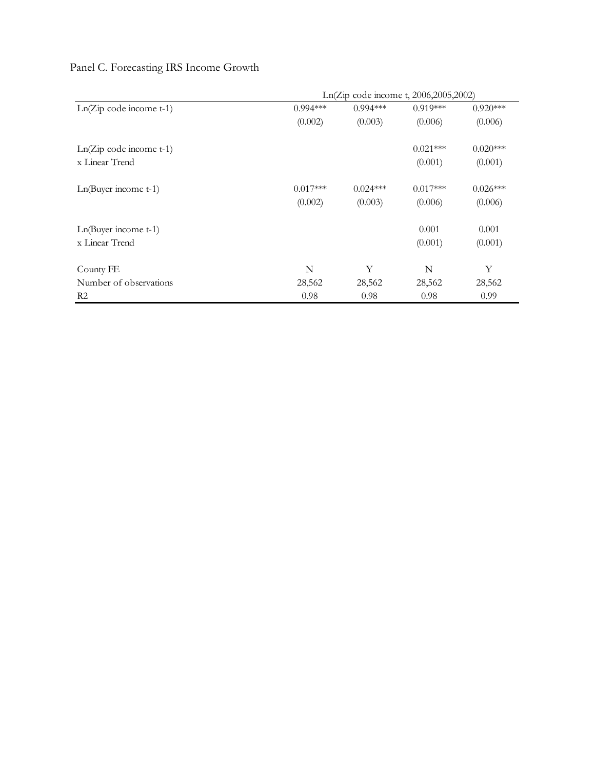|                           | Ln(Zip code income t, 2006,2005,2002) |            |            |            |  |  |  |  |
|---------------------------|---------------------------------------|------------|------------|------------|--|--|--|--|
| $Ln(Zip code income t-1)$ | $0.994***$                            | $0.994***$ | $0.919***$ | $0.920***$ |  |  |  |  |
|                           | (0.002)                               | (0.003)    | (0.006)    | (0.006)    |  |  |  |  |
| $Ln(Zip code income t-1)$ |                                       |            | $0.021***$ | $0.020***$ |  |  |  |  |
| x Linear Trend            |                                       |            | (0.001)    | (0.001)    |  |  |  |  |
| $Ln(Buyer income t-1)$    | $0.017***$                            | $0.024***$ | $0.017***$ | $0.026***$ |  |  |  |  |
|                           | (0.002)                               | (0.003)    | (0.006)    | (0.006)    |  |  |  |  |
| $Ln(Buyer income t-1)$    |                                       |            | 0.001      | 0.001      |  |  |  |  |
| x Linear Trend            |                                       |            | (0.001)    | (0.001)    |  |  |  |  |
| County FE                 | N                                     | Y          | N          | Y          |  |  |  |  |
| Number of observations    | 28,562                                | 28,562     | 28,562     | 28,562     |  |  |  |  |
| R <sub>2</sub>            | 0.98                                  | 0.98       | 0.98       | 0.99       |  |  |  |  |

# Panel C. Forecasting IRS Income Growth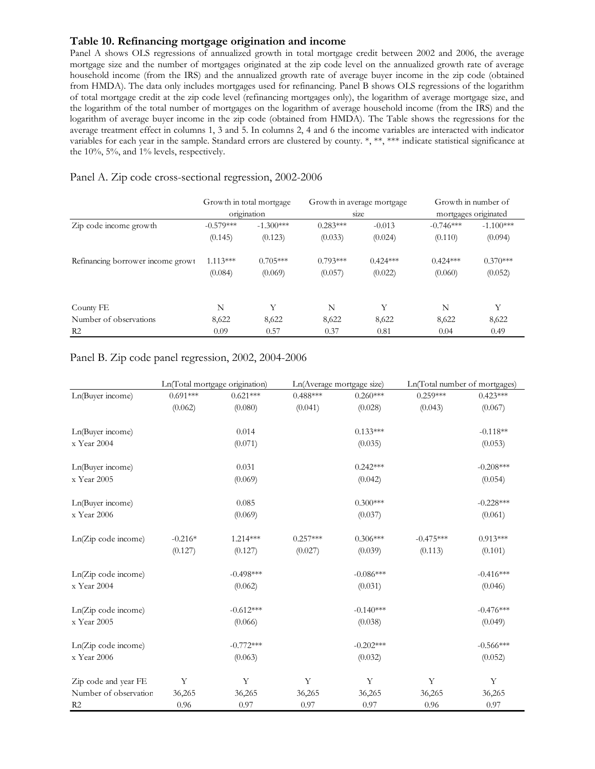#### **Table 10. Refinancing mortgage origination and income**

Panel A shows OLS regressions of annualized growth in total mortgage credit between 2002 and 2006, the average mortgage size and the number of mortgages originated at the zip code level on the annualized growth rate of average household income (from the IRS) and the annualized growth rate of average buyer income in the zip code (obtained from HMDA). The data only includes mortgages used for refinancing. Panel B shows OLS regressions of the logarithm of total mortgage credit at the zip code level (refinancing mortgages only), the logarithm of average mortgage size, and the logarithm of the total number of mortgages on the logarithm of average household income (from the IRS) and the logarithm of average buyer income in the zip code (obtained from HMDA). The Table shows the regressions for the average treatment effect in columns 1, 3 and 5. In columns 2, 4 and 6 the income variables are interacted with indicator variables for each year in the sample. Standard errors are clustered by county. \*, \*\*, \*\*\* indicate statistical significance at the 10%, 5%, and 1% levels, respectively.

### Panel A. Zip code cross-sectional regression, 2002-2006

|             |             |                                         |            |                                    | Growth in number of  |
|-------------|-------------|-----------------------------------------|------------|------------------------------------|----------------------|
|             |             |                                         |            |                                    | mortgages originated |
| $-0.579***$ | $-1.300***$ | $0.283***$                              | $-0.013$   | $-0.746***$                        | $-1.100***$          |
| (0.145)     | (0.123)     | (0.033)                                 | (0.024)    | (0.110)                            | (0.094)              |
| $1.113***$  | $0.705***$  | $0.793***$                              | $0.424***$ | $0.424***$                         | $0.370***$           |
| (0.084)     | (0.069)     | (0.057)                                 | (0.022)    | (0.060)                            | (0.052)              |
| N           | Y           | N                                       | Y          | N                                  | Y                    |
| 8,622       | 8,622       | 8,622                                   | 8,622      | 8,622                              | 8,622                |
| 0.09        | 0.57        | 0.37                                    | 0.81       | 0.04                               | 0.49                 |
|             |             | Growth in total mortgage<br>origination |            | Growth in average mortgage<br>size |                      |

#### Panel B. Zip code panel regression, 2002, 2004-2006

|                       |             | Ln(Total mortgage origination) |            | Ln(Average mortgage size) | Ln(Total number of mortgages) |             |
|-----------------------|-------------|--------------------------------|------------|---------------------------|-------------------------------|-------------|
| Ln(Buyer income)      | $0.691***$  | $0.621***$                     | $0.488***$ | $0.260***$                | $0.259***$                    | $0.423***$  |
|                       | (0.062)     | (0.080)                        | (0.041)    | (0.028)                   | (0.043)                       | (0.067)     |
| Ln(Buyer income)      |             | 0.014                          |            | $0.133***$                |                               | $-0.118**$  |
| x Year 2004           |             | (0.071)                        |            | (0.035)                   |                               | (0.053)     |
| Ln(Buyer income)      |             | 0.031                          |            | $0.242***$                |                               | $-0.208***$ |
| x Year 2005           |             | (0.069)                        |            | (0.042)                   |                               | (0.054)     |
| Ln(Buyer income)      |             | 0.085                          |            | $0.300***$                |                               | $-0.228***$ |
| x Year 2006           |             | (0.069)                        |            | (0.037)                   |                               | (0.061)     |
| Ln(Zip code income)   | $-0.216*$   | 1.214***                       | $0.257***$ | $0.306***$                | $-0.475***$                   | $0.913***$  |
|                       | (0.127)     | (0.127)                        | (0.027)    | (0.039)                   | (0.113)                       | (0.101)     |
| Ln(Zip code income)   |             | $-0.498***$                    |            | $-0.086***$               |                               | $-0.416***$ |
| x Year 2004           |             | (0.062)                        |            | (0.031)                   |                               | (0.046)     |
| Ln(Zip code income)   |             | $-0.612***$                    |            | $-0.140***$               |                               | $-0.476***$ |
| x Year 2005           |             | (0.066)                        |            | (0.038)                   |                               | (0.049)     |
| Ln(Zip code income)   |             | $-0.772***$                    |            | $-0.202***$               |                               | $-0.566***$ |
| $\ge$ Year 2006       |             | (0.063)                        |            | (0.032)                   |                               | (0.052)     |
| Zip code and year FE  | $\mathbf Y$ | Y                              | Y          | Y                         | $\mathbf Y$                   | $\mathbf Y$ |
| Number of observation | 36,265      | 36,265                         | 36,265     | 36,265                    | 36,265                        | 36,265      |
| R2                    | 0.96        | 0.97                           | 0.97       | 0.97                      | 0.96                          | 0.97        |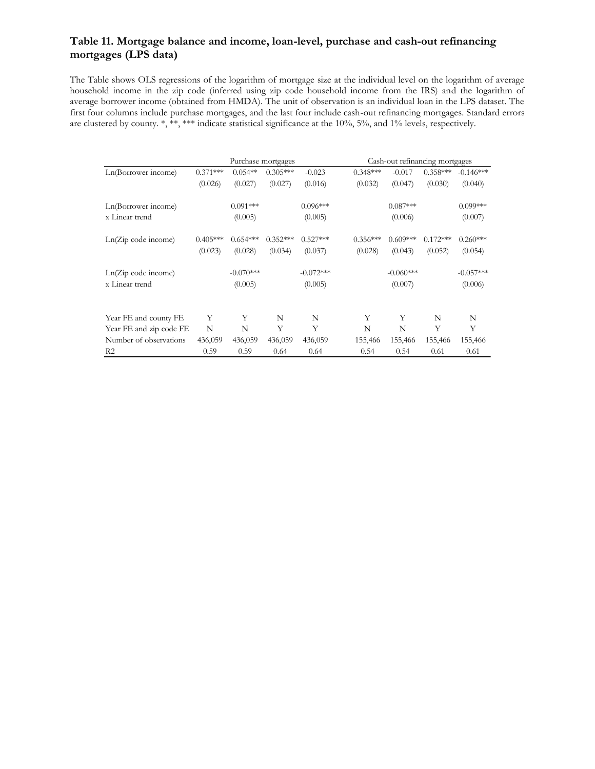### **Table 11. Mortgage balance and income, loan-level, purchase and cash-out refinancing mortgages (LPS data)**

The Table shows OLS regressions of the logarithm of mortgage size at the individual level on the logarithm of average household income in the zip code (inferred using zip code household income from the IRS) and the logarithm of average borrower income (obtained from HMDA). The unit of observation is an individual loan in the LPS dataset. The first four columns include purchase mortgages, and the last four include cash-out refinancing mortgages. Standard errors are clustered by county. \*, \*\*, \*\*\* indicate statistical significance at the 10%, 5%, and 1% levels, respectively.

|                         |            | Purchase mortgages |            |             |            |             | Cash-out refinancing mortgages |             |
|-------------------------|------------|--------------------|------------|-------------|------------|-------------|--------------------------------|-------------|
| Ln(Borrower income)     | $0.371***$ | $0.054**$          | $0.305***$ | $-0.023$    | $0.348***$ | $-0.017$    | $0.358***$                     | $-0.146***$ |
|                         | (0.026)    | (0.027)            | (0.027)    | (0.016)     | (0.032)    | (0.047)     | (0.030)                        | (0.040)     |
| Ln(Borrower income)     |            | $0.091***$         |            | $0.096***$  |            | $0.087***$  |                                | $0.099***$  |
| x Linear trend          |            | (0.005)            |            | (0.005)     |            | (0.006)     |                                | (0.007)     |
| Ln(Zip code income)     | $0.405***$ | $0.654***$         | $0.352***$ | $0.527***$  | $0.356***$ | $0.609***$  | $0.172***$                     | $0.260***$  |
|                         | (0.023)    | (0.028)            | (0.034)    | (0.037)     | (0.028)    | (0.043)     | (0.052)                        | (0.054)     |
| Ln(Zip code income)     |            | $-0.070***$        |            | $-0.072***$ |            | $-0.060***$ |                                | $-0.057***$ |
| x Linear trend          |            | (0.005)            |            | (0.005)     |            | (0.007)     |                                | (0.006)     |
|                         | Y          | Y                  |            | N           | Y          | Y           |                                | N           |
| Year FE and county FE   |            |                    | N          |             |            |             | N                              |             |
| Year FE and zip code FE | N          | N                  | Υ          | Y           | N          | N           | Y                              | Y           |
| Number of observations  | 436,059    | 436,059            | 436,059    | 436,059     | 155,466    | 155,466     | 155,466                        | 155,466     |
| R <sub>2</sub>          | 0.59       | 0.59               | 0.64       | 0.64        | 0.54       | 0.54        | 0.61                           | 0.61        |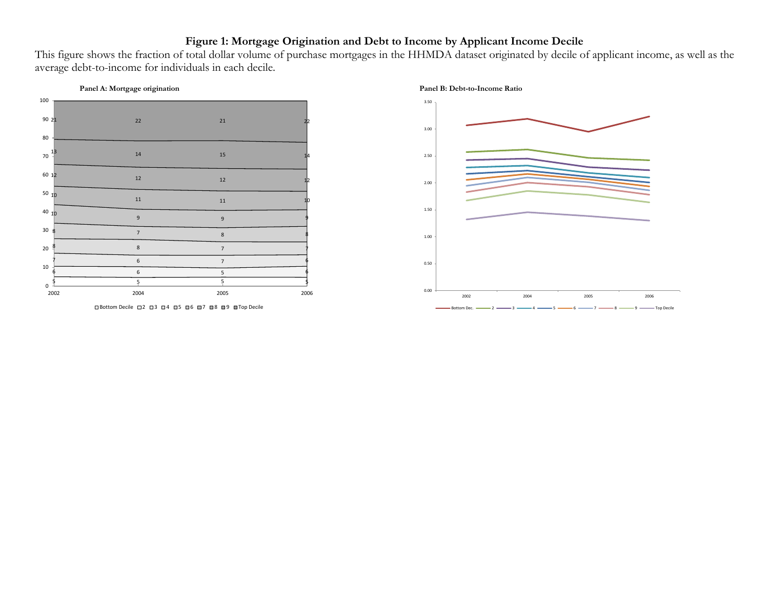# **Figure 1: Mortgage Origination and Debt to Income by Applicant Income Decile**

This figure shows the fraction of total dollar volume of purchase mortgages in the HHMDA dataset originated by decile of applicant income, as well as the average debt-to-income for individuals in each decile.





 $\Box$  Bottom Decile  $\Box$ 2  $\Box$ 3  $\Box$ 4  $\Box$ 5  $\Box$ 6  $\Box$ 7  $\Box$ 8  $\Box$ 9  $\Box$  Top Decile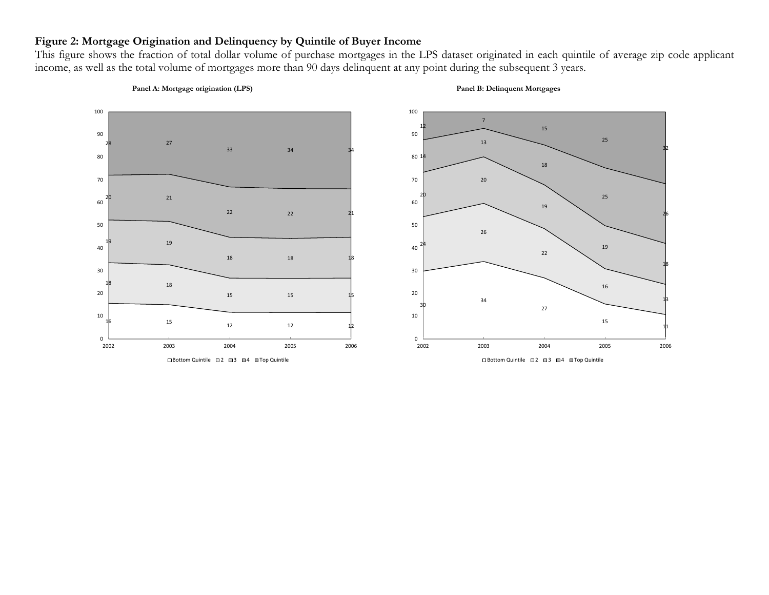# **Figure 2: Mortgage Origination and Delinquency by Quintile of Buyer Income**

This figure shows the fraction of total dollar volume of purchase mortgages in the LPS dataset originated in each quintile of average zip code applicant income, as well as the total volume of mortgages more than 90 days delinquent at any point during the subsequent 3 years.



#### **Panel A: Mortgage origination (LPS) Panel B: Delinquent Mortgages**

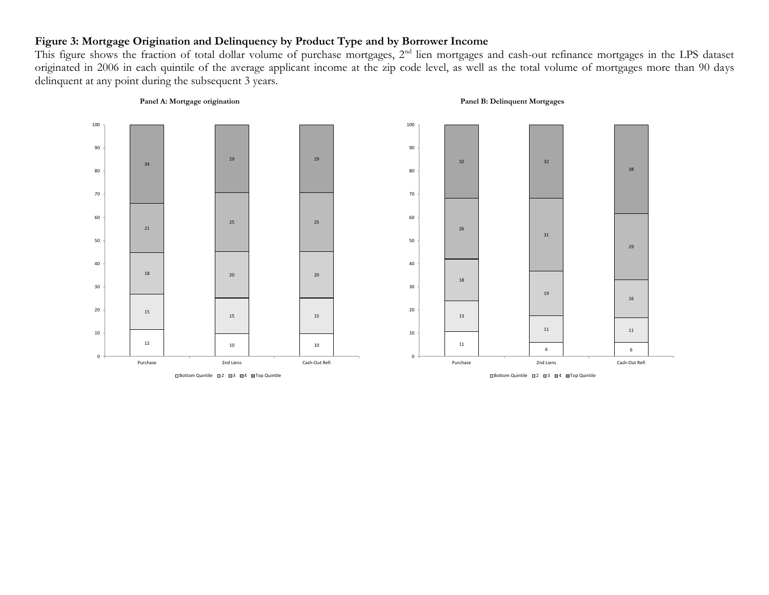# **Figure 3: Mortgage Origination and Delinquency by Product Type and by Borrower Income**

This figure shows the fraction of total dollar volume of purchase mortgages, 2<sup>nd</sup> lien mortgages and cash-out refinance mortgages in the LPS dataset originated in 2006 in each quintile of the average applicant income at the zip code level, as well as the total volume of mortgages more than 90 days delinquent at any point during the subsequent 3 years.

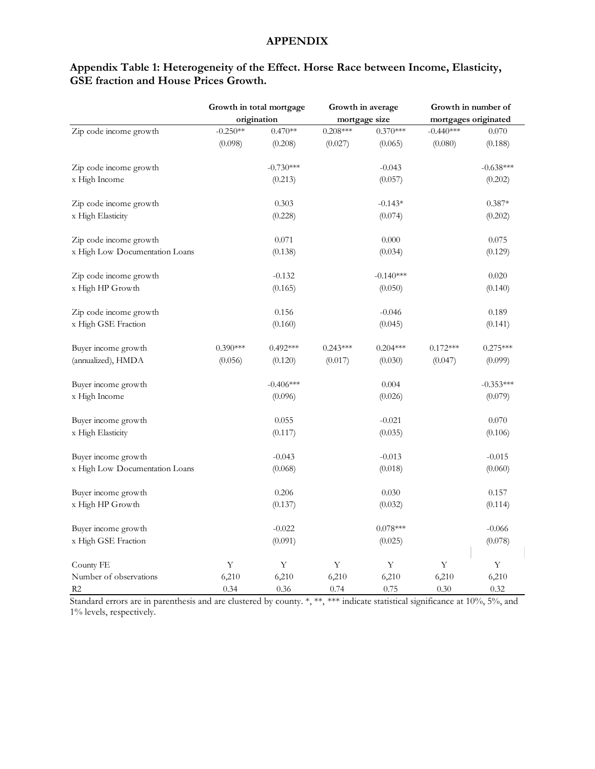### **APPENDIX**

|                                |            | Growth in total mortgage |             | Growth in average |                      | Growth in number of |
|--------------------------------|------------|--------------------------|-------------|-------------------|----------------------|---------------------|
|                                |            | origination              |             | mortgage size     | mortgages originated |                     |
| Zip code income growth         | $-0.250**$ | $0.470**$                | $0.208***$  | $0.370***$        | $-0.440***$          | 0.070               |
|                                | (0.098)    | (0.208)                  | (0.027)     | (0.065)           | (0.080)              | (0.188)             |
| Zip code income growth         |            | $-0.730***$              |             | $-0.043$          |                      | $-0.638***$         |
| x High Income                  |            | (0.213)                  |             | (0.057)           |                      | (0.202)             |
| Zip code income growth         |            | 0.303                    |             | $-0.143*$         |                      | $0.387*$            |
| x High Elasticity              |            | (0.228)                  |             | (0.074)           |                      | (0.202)             |
| Zip code income growth         |            | 0.071                    |             | 0.000             |                      | 0.075               |
| x High Low Documentation Loans |            | (0.138)                  |             | (0.034)           |                      | (0.129)             |
| Zip code income growth         |            | $-0.132$                 |             | $-0.140***$       |                      | 0.020               |
| x High HP Growth               |            | (0.165)                  |             | (0.050)           |                      | (0.140)             |
| Zip code income growth         |            | 0.156                    |             | $-0.046$          |                      | 0.189               |
| x High GSE Fraction            |            | (0.160)                  |             | (0.045)           |                      | (0.141)             |
| Buyer income growth            | $0.390***$ | $0.492***$               | $0.243***$  | $0.204***$        | $0.172***$           | $0.275***$          |
| (annualized), HMDA             | (0.056)    | (0.120)                  | (0.017)     | (0.030)           | (0.047)              | (0.099)             |
| Buyer income growth            |            | $-0.406***$              |             | 0.004             |                      | $-0.353***$         |
| x High Income                  |            | (0.096)                  |             | (0.026)           |                      | (0.079)             |
| Buyer income growth            |            | 0.055                    |             | $-0.021$          |                      | 0.070               |
| x High Elasticity              |            | (0.117)                  |             | (0.035)           |                      | (0.106)             |
| Buyer income growth            |            | $-0.043$                 |             | $-0.013$          |                      | $-0.015$            |
| x High Low Documentation Loans |            | (0.068)                  |             | (0.018)           |                      | (0.060)             |
| Buyer income growth            |            | 0.206                    |             | 0.030             |                      | 0.157               |
| x High HP Growth               |            | (0.137)                  |             | (0.032)           |                      | (0.114)             |
| Buyer income growth            |            | $-0.022$                 |             | $0.078***$        |                      | $-0.066$            |
| x High GSE Fraction            |            | (0.091)                  |             | (0.025)           |                      | (0.078)             |
| County FE                      | Y          | $\mathbf Y$              | $\mathbf Y$ | $\mathbf Y$       | Y                    | Y                   |
| Number of observations         | 6,210      | 6,210                    | 6,210       | 6,210             | 6,210                | 6,210               |
| R <sub>2</sub>                 | 0.34       | 0.36                     | 0.74        | 0.75              | 0.30                 | 0.32                |

### **Appendix Table 1: Heterogeneity of the Effect. Horse Race between Income, Elasticity, GSE fraction and House Prices Growth.**

1% levels, respectively.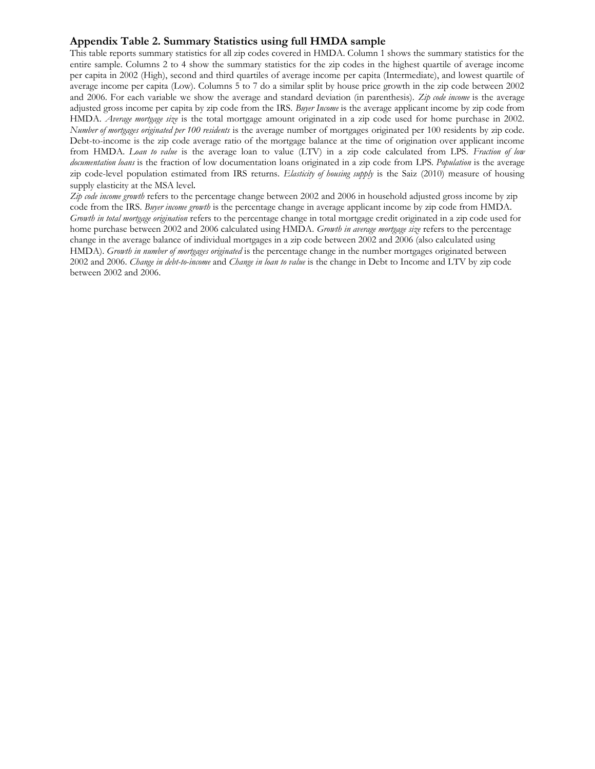#### **Appendix Table 2. Summary Statistics using full HMDA sample**

This table reports summary statistics for all zip codes covered in HMDA. Column 1 shows the summary statistics for the entire sample. Columns 2 to 4 show the summary statistics for the zip codes in the highest quartile of average income per capita in 2002 (High), second and third quartiles of average income per capita (Intermediate), and lowest quartile of average income per capita (Low). Columns 5 to 7 do a similar split by house price growth in the zip code between 2002 and 2006. For each variable we show the average and standard deviation (in parenthesis). *Zip code income* is the average adjusted gross income per capita by zip code from the IRS. *Buyer Income* is the average applicant income by zip code from HMDA. *Average mortgage size* is the total mortgage amount originated in a zip code used for home purchase in 2002. *Number of mortgages originated per 100 residents* is the average number of mortgages originated per 100 residents by zip code. Debt-to-income is the zip code average ratio of the mortgage balance at the time of origination over applicant income from HMDA*. Loan to value* is the average loan to value (LTV) in a zip code calculated from LPS. *Fraction of low documentation loans* is the fraction of low documentation loans originated in a zip code from LPS*. Population* is the average zip code-level population estimated from IRS returns. *Elasticity of housing supply* is the Saiz (2010) measure of housing supply elasticity at the MSA level.

*Zip code income growth* refers to the percentage change between 2002 and 2006 in household adjusted gross income by zip code from the IRS. *Buyer income growth* is the percentage change in average applicant income by zip code from HMDA. *Growth in total mortgage origination* refers to the percentage change in total mortgage credit originated in a zip code used for home purchase between 2002 and 2006 calculated using HMDA. *Growth in average mortgage size* refers to the percentage change in the average balance of individual mortgages in a zip code between 2002 and 2006 (also calculated using HMDA). *Growth in number of mortgages originated* is the percentage change in the number mortgages originated between 2002 and 2006. *Change in debt-to-income* and *Change in loan to value* is the change in Debt to Income and LTV by zip code between 2002 and 2006.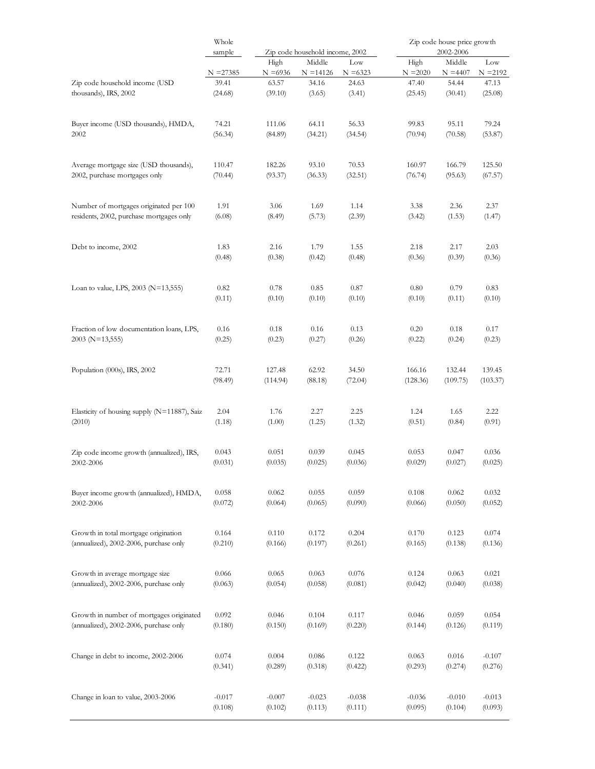|                                              | Whole       |            |                                           |            |            | Zip code house price growth |            |
|----------------------------------------------|-------------|------------|-------------------------------------------|------------|------------|-----------------------------|------------|
|                                              | sample      | High       | Zip code household income, 2002<br>Middle | Low        | High       | 2002-2006<br>Middle         | Low        |
|                                              | $N = 27385$ | $N = 6936$ | $N = 14126$                               | $N = 6323$ | $N = 2020$ | $N = 4407$                  | $N = 2192$ |
| Zip code household income (USD               | 39.41       | 63.57      | 34.16                                     | 24.63      | 47.40      | 54.44                       | 47.13      |
| thousands), IRS, 2002                        | (24.68)     | (39.10)    | (3.65)                                    | (3.41)     | (25.45)    | (30.41)                     | (25.08)    |
| Buyer income (USD thousands), HMDA,          | 74.21       | 111.06     | 64.11                                     | 56.33      | 99.83      | 95.11                       | 79.24      |
| 2002                                         | (56.34)     | (84.89)    | (34.21)                                   | (34.54)    | (70.94)    | (70.58)                     | (53.87)    |
| Average mortgage size (USD thousands),       | 110.47      | 182.26     | 93.10                                     | 70.53      | 160.97     | 166.79                      | 125.50     |
| 2002, purchase mortgages only                | (70.44)     | (93.37)    | (36.33)                                   | (32.51)    | (76.74)    | (95.63)                     | (67.57)    |
| Number of mortgages originated per 100       | 1.91        | 3.06       | 1.69                                      | 1.14       | 3.38       | 2.36                        | 2.37       |
| residents, 2002, purchase mortgages only     | (6.08)      | (8.49)     | (5.73)                                    | (2.39)     | (3.42)     | (1.53)                      | (1.47)     |
| Debt to income, 2002                         | 1.83        | 2.16       | 1.79                                      | 1.55       | 2.18       | 2.17                        | 2.03       |
|                                              | (0.48)      | (0.38)     | (0.42)                                    | (0.48)     | (0.36)     | (0.39)                      | (0.36)     |
| Loan to value, LPS, 2003 ( $N=13,555$ )      | 0.82        | 0.78       | 0.85                                      | 0.87       | 0.80       | 0.79                        | 0.83       |
|                                              | (0.11)      | (0.10)     | (0.10)                                    | (0.10)     | (0.10)     | (0.11)                      | (0.10)     |
| Fraction of low documentation loans, LPS,    | 0.16        | 0.18       | 0.16                                      | 0.13       | 0.20       | 0.18                        | 0.17       |
| $2003$ (N=13,555)                            | (0.25)      | (0.23)     | (0.27)                                    | (0.26)     | (0.22)     | (0.24)                      | (0.23)     |
| Population (000s), IRS, 2002                 | 72.71       | 127.48     | 62.92                                     | 34.50      | 166.16     | 132.44                      | 139.45     |
|                                              | (98.49)     | (114.94)   | (88.18)                                   | (72.04)    | (128.36)   | (109.75)                    | (103.37)   |
| Elasticity of housing supply (N=11887), Saiz | 2.04        | 1.76       | 2.27                                      | 2.25       | 1.24       | 1.65                        | 2.22       |
| (2010)                                       | (1.18)      | (1.00)     | (1.25)                                    | (1.32)     | (0.51)     | (0.84)                      | (0.91)     |
| Zip code income growth (annualized), IRS,    | 0.043       | 0.051      | 0.039                                     | 0.045      | 0.053      | 0.047                       | 0.036      |
| 2002-2006                                    | (0.031)     | (0.035)    | (0.025)                                   | (0.036)    | (0.029)    | (0.027)                     | (0.025)    |
| Buyer income growth (annualized), HMDA,      | 0.058       | 0.062      | 0.055                                     | 0.059      | 0.108      | 0.062                       | 0.032      |
| 2002-2006                                    | (0.072)     | (0.064)    | (0.065)                                   | (0.090)    | (0.066)    | (0.050)                     | (0.052)    |
| Growth in total mortgage origination         | 0.164       | 0.110      | 0.172                                     | 0.204      | 0.170      | 0.123                       | 0.074      |
| (annualized), 2002-2006, purchase only       | (0.210)     | (0.166)    | (0.197)                                   | (0.261)    | (0.165)    | (0.138)                     | (0.136)    |
| Growth in average mortgage size              | 0.066       | 0.065      | 0.063                                     | 0.076      | 0.124      | 0.063                       | 0.021      |
| (annualized), 2002-2006, purchase only       | (0.063)     | (0.054)    | (0.058)                                   | (0.081)    | (0.042)    | (0.040)                     | (0.038)    |
| Growth in number of mortgages originated     | 0.092       | 0.046      | 0.104                                     | 0.117      | 0.046      | 0.059                       | 0.054      |
| (annualized), 2002-2006, purchase only       | (0.180)     | (0.150)    | (0.169)                                   | (0.220)    | (0.144)    | (0.126)                     | (0.119)    |
| Change in debt to income, 2002-2006          | 0.074       | 0.004      | 0.086                                     | 0.122      | 0.063      | 0.016                       | $-0.107$   |
|                                              | (0.341)     | (0.289)    | (0.318)                                   | (0.422)    | (0.293)    | (0.274)                     | (0.276)    |
| Change in loan to value, 2003-2006           | $-0.017$    | $-0.007$   | $-0.023$                                  | $-0.038$   | $-0.036$   | $-0.010$                    | $-0.013$   |
|                                              | (0.108)     | (0.102)    | (0.113)                                   | (0.111)    | (0.095)    | (0.104)                     | (0.093)    |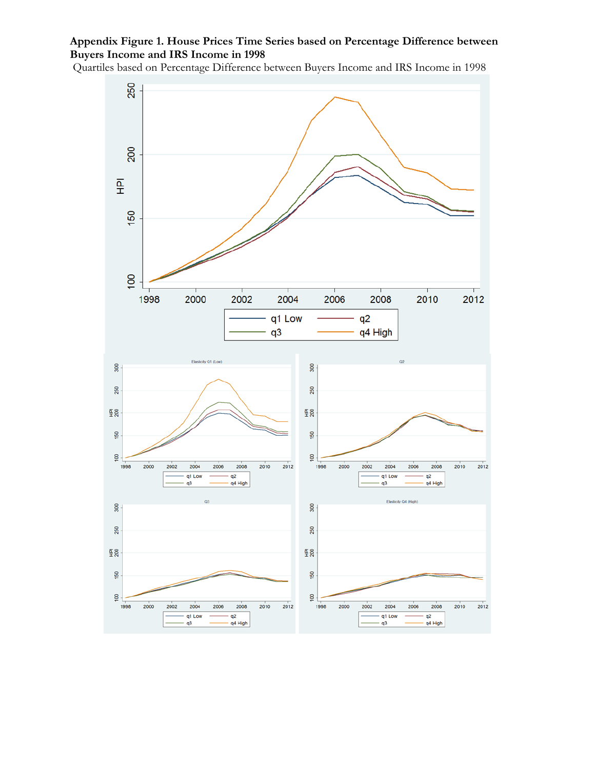# **Appendix Figure 1. House Prices Time Series based on Percentage Difference between Buyers Income and IRS Income in 1998**

Quartiles based on Percentage Difference between Buyers Income and IRS Income in 1998